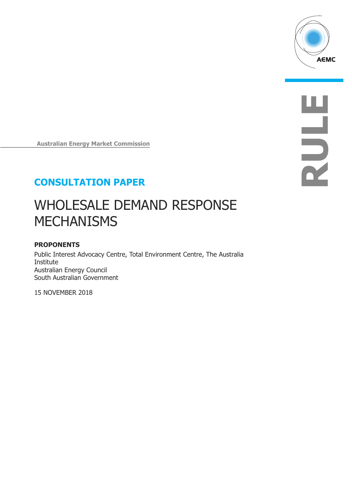

**R**

**U**

**L**

**E**

**Australian Energy Market Commission**

# **CONSULTATION PAPER**

# WHOLESALE DEMAND RESPONSE **MECHANISMS**

## **PROPONENTS**

Public Interest Advocacy Centre, Total Environment Centre, The Australia Institute Australian Energy Council South Australian Government

15 NOVEMBER 2018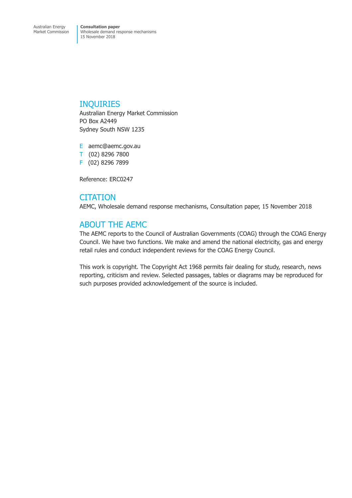## INQUIRIES

Australian Energy Market Commission PO Box A2449 Sydney South NSW 1235

E aemc@aemc.gov.au T (02) 8296 7800 F (02) 8296 7899

Reference: ERC0247

## **CITATION**

AEMC, Wholesale demand response mechanisms, Consultation paper, 15 November 2018

# ABOUT THE AEMC

The AEMC reports to the Council of Australian Governments (COAG) through the COAG Energy Council. We have two functions. We make and amend the national electricity, gas and energy retail rules and conduct independent reviews for the COAG Energy Council.

This work is copyright. The Copyright Act 1968 permits fair dealing for study, research, news reporting, criticism and review. Selected passages, tables or diagrams may be reproduced for such purposes provided acknowledgement of the source is included.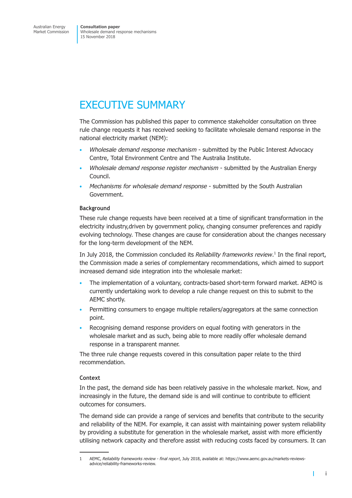# EXECUTIVE SUMMARY

The Commission has published this paper to commence stakeholder consultation on three rule change requests it has received seeking to facilitate wholesale demand response in the national electricity market (NEM):

- *Wholesale demand response mechanism* submitted by the Public Interest Advocacy Centre, Total Environment Centre and The Australia Institute.
- *Wholesale demand response register mechanism* submitted by the Australian Energy Council.
- *Mechanisms for wholesale demand response* submitted by the South Australian Government.

## **Background**

These rule change requests have been received at a time of significant transformation in the electricity industry,driven by government policy, changing consumer preferences and rapidly evolving technology. These changes are cause for consideration about the changes necessary for the long-term development of the NEM.

In July 2018, the Commission concluded its *Reliability frameworks review*. <sup>1</sup> In the final report, the Commission made a series of complementary recommendations, which aimed to support increased demand side integration into the wholesale market:

- The implementation of a voluntary, contracts-based short-term forward market. AEMO is currently undertaking work to develop a rule change request on this to submit to the AEMC shortly.
- Permitting consumers to engage multiple retailers/aggregators at the same connection point.
- Recognising demand response providers on equal footing with generators in the wholesale market and as such, being able to more readily offer wholesale demand response in a transparent manner.

The three rule change requests covered in this consultation paper relate to the third recommendation.

## **Context**

In the past, the demand side has been relatively passive in the wholesale market. Now, and increasingly in the future, the demand side is and will continue to contribute to efficient outcomes for consumers.

The demand side can provide a range of services and benefits that contribute to the security and reliability of the NEM. For example, it can assist with maintaining power system reliability by providing a substitute for generation in the wholesale market, assist with more efficiently utilising network capacity and therefore assist with reducing costs faced by consumers. It can

<sup>1</sup> AEMC, *Reliability frameworks review - final report*, July 2018, available at: https://www.aemc.gov.au/markets-reviewsadvice/reliability-frameworks-review.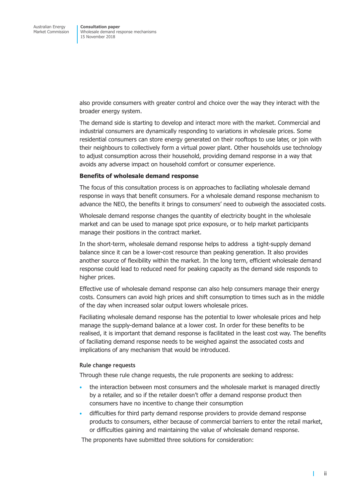also provide consumers with greater control and choice over the way they interact with the broader energy system.

The demand side is starting to develop and interact more with the market. Commercial and industrial consumers are dynamically responding to variations in wholesale prices. Some residential consumers can store energy generated on their rooftops to use later, or join with their neighbours to collectively form a virtual power plant. Other households use technology to adjust consumption across their household, providing demand response in a way that avoids any adverse impact on household comfort or consumer experience.

#### **Benefits of wholesale demand response**

The focus of this consultation process is on approaches to faciliating wholesale demand response in ways that benefit consumers. For a wholesale demand response mechanism to advance the NEO, the benefits it brings to consumers' need to outweigh the associated costs.

Wholesale demand response changes the quantity of electricity bought in the wholesale market and can be used to manage spot price exposure, or to help market participants manage their positions in the contract market.

In the short-term, wholesale demand response helps to address a tight-supply demand balance since it can be a lower-cost resource than peaking generation. It also provides another source of flexibility within the market. In the long term, efficient wholesale demand response could lead to reduced need for peaking capacity as the demand side responds to higher prices.

Effective use of wholesale demand response can also help consumers manage their energy costs. Consumers can avoid high prices and shift consumption to times such as in the middle of the day when increased solar output lowers wholesale prices.

Faciliating wholesale demand response has the potential to lower wholesale prices and help manage the supply-demand balance at a lower cost. In order for these benefits to be realised, it is important that demand response is facilitated in the least cost way. The benefits of faciliating demand response needs to be weighed against the associated costs and implications of any mechanism that would be introduced.

## **Rule change requests**

Through these rule change requests, the rule proponents are seeking to address:

- the interaction between most consumers and the wholesale market is managed directly by a retailer, and so if the retailer doesn't offer a demand response product then consumers have no incentive to change their consumption
- difficulties for third party demand response providers to provide demand response products to consumers, either because of commercial barriers to enter the retail market, or difficulties gaining and maintaining the value of wholesale demand response.

The proponents have submitted three solutions for consideration: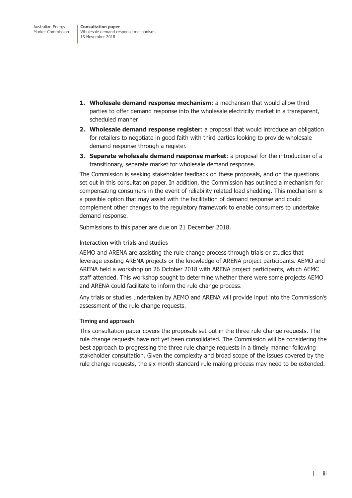- **1. Wholesale demand response mechanism**: a mechanism that would allow third parties to offer demand response into the wholesale electricity market in a transparent, scheduled manner.
- **2. Wholesale demand response register**: a proposal that would introduce an obligation for retailers to negotiate in good faith with third parties looking to provide wholesale demand response through a register.
- **3. Separate wholesale demand response market**: a proposal for the introduction of a transitionary, separate market for wholesale demand response.

The Commission is seeking stakeholder feedback on these proposals, and on the questions set out in this consultation paper. In addition, the Commission has outlined a mechanism for compensating consumers in the event of reliability related load shedding. This mechanism is a possible option that may assist with the facilitation of demand response and could complement other changes to the regulatory framework to enable consumers to undertake demand response.

Submissions to this paper are due on 21 December 2018.

## **Interaction with trials and studies**

AEMO and ARENA are assisting the rule change process through trials or studies that leverage existing ARENA projects or the knowledge of ARENA project participants. AEMO and ARENA held a workshop on 26 October 2018 with ARENA project participants, which AEMC staff attended. This workshop sought to determine whether there were some projects AEMO and ARENA could facilitate to inform the rule change process.

Any trials or studies undertaken by AEMO and ARENA will provide input into the Commission's assessment of the rule change requests.

## **Timing and approach**

This consultation paper covers the proposals set out in the three rule change requests. The rule change requests have not yet been consolidated. The Commission will be considering the best approach to progressing the three rule change requests in a timely manner following stakeholder consultation. Given the complexity and broad scope of the issues covered by the rule change requests, the six month standard rule making process may need to be extended.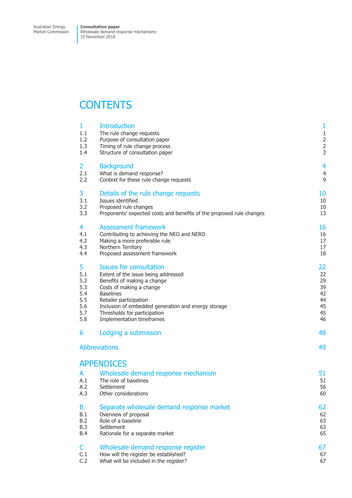# **CONTENTS**

| 1<br>1.1<br>1.2<br>1.3<br>1.4 | <b>Introduction</b><br>The rule change requests<br>Purpose of consultation paper<br>Timing of rule change process<br>Structure of consultation paper | $\mathbf{1}$<br>$\mathbf{1}$<br>$\frac{2}{3}$ |
|-------------------------------|------------------------------------------------------------------------------------------------------------------------------------------------------|-----------------------------------------------|
| $\overline{2}$                | <b>Background</b>                                                                                                                                    | 4                                             |
| 2.1                           | What is demand response?                                                                                                                             | $\overline{\mathcal{L}}$                      |
| 2.2                           | Context for these rule change requests                                                                                                               | 9                                             |
| 3                             | Details of the rule change requests                                                                                                                  | 10                                            |
| 3.1                           | Issues identified                                                                                                                                    | 10                                            |
| 3.2                           | Proposed rule changes                                                                                                                                | 10                                            |
| 3.3                           | Proponents' expected costs and benefits of the proposed rule changes                                                                                 | 13                                            |
| 4                             | <b>Assessment framework</b>                                                                                                                          | 16                                            |
| 4.1                           | Contributing to achieving the NEO and NERO                                                                                                           | 16                                            |
| 4.2                           | Making a more preferable rule                                                                                                                        | 17                                            |
| 4.3                           | Northern Territory                                                                                                                                   | 17                                            |
| 4.4                           | Proposed assessment framework                                                                                                                        | 18                                            |
| 5                             | <b>Issues for consultation</b>                                                                                                                       | 22                                            |
| 5.1                           | Extent of the issue being addressed                                                                                                                  | 22                                            |
| 5.2                           | Benefits of making a change                                                                                                                          | 29                                            |
| 5.3                           | Costs of making a change                                                                                                                             | 39                                            |
| 5.4                           | <b>Baselines</b>                                                                                                                                     | 42                                            |
| 5.5                           | Retailer participation                                                                                                                               | 44                                            |
| 5.6                           | Inclusion of embedded generation and energy storage                                                                                                  | 45                                            |
| 5.7                           | Thresholds for participation                                                                                                                         | 45                                            |
| 5.8                           | Implementation timeframes                                                                                                                            | 46                                            |
| 6                             | Lodging a submission                                                                                                                                 | 48                                            |
|                               | <b>Abbreviations</b>                                                                                                                                 | 49                                            |
|                               | <b>APPENDICES</b>                                                                                                                                    |                                               |
| A<br>A.2<br>A.3               | Wholesale demand response mechanism<br>The role of baselines<br>A.1<br>Settlement<br>Other considerations                                            | 51<br>51<br>56<br>60                          |
| B                             | Separate wholesale demand response market                                                                                                            | 62                                            |
| B.1                           | Overview of proposal                                                                                                                                 | 62                                            |
| B.2                           | Role of a baseline                                                                                                                                   | 63                                            |
| B.3                           | Settlement                                                                                                                                           | 63                                            |
| B.4                           | Rationale for a separate market                                                                                                                      | 65                                            |
| C                             | Wholesale demand response register                                                                                                                   | 67                                            |
| C.1                           | How will the register be established?                                                                                                                | 67                                            |
| C.2                           | What will be included in the register?                                                                                                               | 67                                            |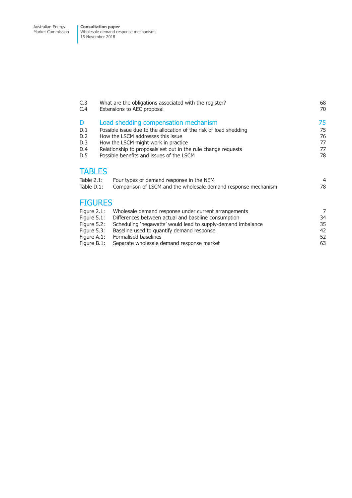| C.3<br>C.4                                                                                                                                                                                                                                                                                                                                 |                | What are the obligations associated with the register?<br>Extensions to AEC proposal | 68<br>70                         |
|--------------------------------------------------------------------------------------------------------------------------------------------------------------------------------------------------------------------------------------------------------------------------------------------------------------------------------------------|----------------|--------------------------------------------------------------------------------------|----------------------------------|
| Load shedding compensation mechanism<br>D<br>D.1<br>Possible issue due to the allocation of the risk of load shedding<br>D.2<br>How the LSCM addresses this issue<br>D.3<br>How the LSCM might work in practice<br>Relationship to proposals set out in the rule change requests<br>D.4<br>Possible benefits and issues of the LSCM<br>D.5 |                |                                                                                      | 75<br>75<br>76<br>77<br>77<br>78 |
|                                                                                                                                                                                                                                                                                                                                            | <b>TABLES</b>  |                                                                                      |                                  |
|                                                                                                                                                                                                                                                                                                                                            | Table $2.1$ :  | Four types of demand response in the NEM                                             | 4                                |
|                                                                                                                                                                                                                                                                                                                                            | Table D.1:     | Comparison of LSCM and the wholesale demand response mechanism                       | 78                               |
|                                                                                                                                                                                                                                                                                                                                            | <b>FIGURES</b> |                                                                                      |                                  |
|                                                                                                                                                                                                                                                                                                                                            | Figure $2.1$ : | Wholesale demand response under current arrangements                                 | 7                                |
|                                                                                                                                                                                                                                                                                                                                            | Figure $5.1$ : | Differences between actual and baseline consumption                                  | 34                               |
|                                                                                                                                                                                                                                                                                                                                            | Figure $5.2$ : | Scheduling 'negawatts' would lead to supply-demand imbalance                         | 35                               |
|                                                                                                                                                                                                                                                                                                                                            | Figure $5.3$ : | Baseline used to quantify demand response                                            | 42                               |
|                                                                                                                                                                                                                                                                                                                                            | Figure A.1:    | Formalised baselines                                                                 | 52                               |
|                                                                                                                                                                                                                                                                                                                                            | Figure B.1:    | Separate wholesale demand response market                                            | 63                               |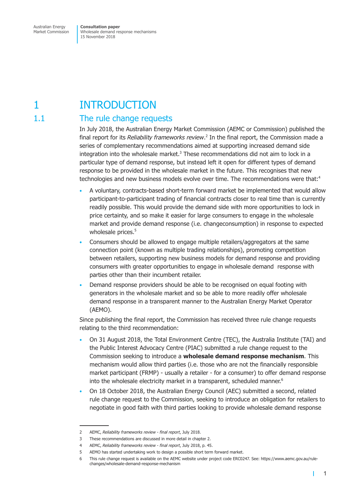# <span id="page-7-0"></span>1 INTRODUCTION

# 1.1 The rule change requests

In July 2018, the Australian Energy Market Commission (AEMC or Commission) published the final report for its *Reliability frameworks review*. <sup>2</sup> In the final report, the Commission made a series of complementary recommendations aimed at supporting increased demand side integration into the wholesale market. <sup>3</sup> These recommendations did not aim to lock in a particular type of demand response, but instead left it open for different types of demand response to be provided in the wholesale market in the future. This recognises that new technologies and new business models evolve over time. The recommendations were that: 4

- A voluntary, contracts-based short-term forward market be implemented that would allow participant-to-participant trading of financial contracts closer to real time than is currently readily possible. This would provide the demand side with more opportunities to lock in price certainty, and so make it easier for large consumers to engage in the wholesale market and provide demand response (i.e. changeconsumption) in response to expected wholesale prices. 5
- Consumers should be allowed to engage multiple retailers/aggregators at the same connection point (known as multiple trading relationships), promoting competition between retailers, supporting new business models for demand response and providing consumers with greater opportunities to engage in wholesale demand response with parties other than their incumbent retailer.
- Demand response providers should be able to be recognised on equal footing with generators in the wholesale market and so be able to more readily offer wholesale demand response in a transparent manner to the Australian Energy Market Operator (AEMO).

Since publishing the final report, the Commission has received three rule change requests relating to the third recommendation:

- On 31 August 2018, the Total Environment Centre (TEC), the Australia Institute (TAI) and the Public Interest Advocacy Centre (PIAC) submitted a rule change request to the Commission seeking to introduce a **wholesale demand response mechanism**. This mechanism would allow third parties (i.e. those who are not the financially responsible market participant (FRMP) - usually a retailer - for a consumer) to offer demand response into the wholesale electricity market in a transparent, scheduled manner. 6
- On 18 October 2018, the Australian Energy Council (AEC) submitted a second, related rule change request to the Commission, seeking to introduce an obligation for retailers to negotiate in good faith with third parties looking to provide wholesale demand response

т

<sup>2</sup> AEMC, *Reliability frameworks review - final report*, July 2018.

<sup>3</sup> These recommendations are discussed in more detail in chapter 2.

<sup>4</sup> AEMC, *Reliability frameworks review - final report*, July 2018, p. 45.

<sup>5</sup> AEMO has started undertaking work to design a possible short term forward market.

<sup>6</sup> This rule change request is available on the AEMC website under project code ERC0247. See: https://www.aemc.gov.au/rulechanges/wholesale-demand-response-mechanism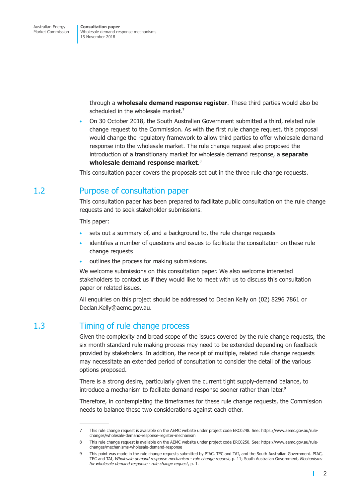> <span id="page-8-0"></span>through a **wholesale demand response register**. These third parties would also be scheduled in the wholesale market. 7

• On 30 October 2018, the South Australian Government submitted a third, related rule change request to the Commission. As with the first rule change request, this proposal would change the regulatory framework to allow third parties to offer wholesale demand response into the wholesale market. The rule change request also proposed the introduction of a transitionary market for wholesale demand response, a **separate wholesale demand response market**. 8

This consultation paper covers the proposals set out in the three rule change requests.

# 1.2 Purpose of consultation paper

This consultation paper has been prepared to facilitate public consultation on the rule change requests and to seek stakeholder submissions.

This paper:

- sets out a summary of, and a background to, the rule change requests
- identifies a number of questions and issues to facilitate the consultation on these rule change requests
- outlines the process for making submissions.

We welcome submissions on this consultation paper. We also welcome interested stakeholders to contact us if they would like to meet with us to discuss this consultation paper or related issues.

All enquiries on this project should be addressed to Declan Kelly on (02) 8296 7861 or Declan.Kelly@aemc.gov.au.

# 1.3 Timing of rule change process

Given the complexity and broad scope of the issues covered by the rule change requests, the six month standard rule making process may need to be extended depending on feedback provided by stakeholers. In addition, the receipt of multiple, related rule change requests may necessitate an extended period of consultation to consider the detail of the various options proposed.

There is a strong desire, particularly given the current tight supply-demand balance, to introduce a mechanism to faciliate demand response sooner rather than later.<sup>s</sup>

Therefore, in contemplating the timeframes for these rule change requests, the Commission needs to balance these two considerations against each other.

г

<sup>7</sup> This rule change request is available on the AEMC website under project code ERC0248. See: https://www.aemc.gov.au/rulechanges/wholesale-demand-response-register-mechanism

<sup>8</sup> This rule change request is available on the AEMC website under project code ERC0250. See: https://www.aemc.gov.au/rulechanges/mechanisms-wholesale-demand-response

<sup>9</sup> This point was made in the rule change requests submitted by PIAC, TEC and TAI, and the South Australian Government. PIAC, TEC and TAI, *Wholesale demand response mechanism - rule change request*, p. 11; South Australian Government, *Mechanisms for wholesale demand response - rule change request*, p. 1.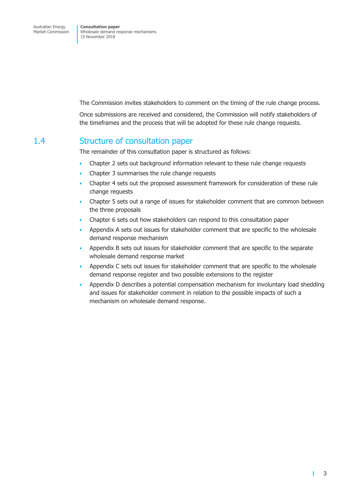<span id="page-9-0"></span>The Commission invites stakeholders to comment on the timing of the rule change process.

Once submissions are received and considered, the Commission will notify stakeholders of the timeframes and the process that will be adopted for these rule change requests.

## 1.4 Structure of consultation paper

The remainder of this consultation paper is structured as follows:

- Chapter 2 sets out background information relevant to these rule change requests
- Chapter 3 summarises the rule change requests
- Chapter 4 sets out the proposed assessment framework for consideration of these rule change requests
- Chapter 5 sets out a range of issues for stakeholder comment that are common between the three proposals
- Chapter 6 sets out how stakeholders can respond to this consultation paper
- Appendix A sets out issues for stakeholder comment that are specific to the wholesale demand response mechanism
- Appendix B sets out issues for stakeholder comment that are specific to the separate wholesale demand response market
- Appendix C sets out issues for stakeholder comment that are specific to the wholesale demand response register and two possible extensions to the register
- Appendix D describes a potential compensation mechanism for involuntary load shedding and issues for stakeholder comment in relation to the possible impacts of such a mechanism on wholesale demand response.

т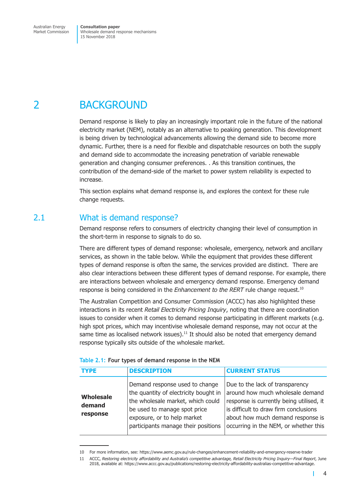<span id="page-10-0"></span>2 BACKGROUND

Demand response is likely to play an increasingly important role in the future of the national electricity market (NEM), notably as an alternative to peaking generation. This development is being driven by technological advancements allowing the demand side to become more dynamic. Further, there is a need for flexible and dispatchable resources on both the supply and demand side to accommodate the increasing penetration of variable renewable generation and changing consumer preferences. . As this transition continues, the contribution of the demand-side of the market to power system reliability is expected to increase.

This section explains what demand response is, and explores the context for these rule change requests.

# 2.1 What is demand response?

Demand response refers to consumers of electricity changing their level of consumption in the short-term in response to signals to do so.

There are different types of demand response: wholesale, emergency, network and ancillary services, as shown in the table below. While the equipment that provides these different types of demand response is often the same, the services provided are distinct. There are also clear interactions between these different types of demand response. For example, there are interactions between wholesale and emergency demand response. Emergency demand response is being considered in the *Enhancement to the RERT* rule change request. 10

The Australian Competition and Consumer Commission (ACCC) has also highlighted these interactions in its recent *Retail Electricity Pricing Inquiry*, noting that there are coordination issues to consider when it comes to demand response participating in different markets (e.g. high spot prices, which may incentivise wholesale demand response, may not occur at the same time as localised network issues).<sup>11</sup> It should also be noted that emergency demand response typically sits outside of the wholesale market.

| <b>TYPE</b>                            | <b>DESCRIPTION</b>                                                                                                                                                                                                 | <b>CURRENT STATUS</b>                                                                                                                                                                                                                  |
|----------------------------------------|--------------------------------------------------------------------------------------------------------------------------------------------------------------------------------------------------------------------|----------------------------------------------------------------------------------------------------------------------------------------------------------------------------------------------------------------------------------------|
| <b>Wholesale</b><br>demand<br>response | Demand response used to change<br>the quantity of electricity bought in<br>the wholesale market, which could<br>be used to manage spot price<br>exposure, or to help market<br>participants manage their positions | Due to the lack of transparency<br>around how much wholesale demand<br>response is currently being utilised, it<br>is difficult to draw firm conclusions<br>about how much demand response is<br>occurring in the NEM, or whether this |

#### **Table 2.1: Four types of demand response in the NEM**

<sup>10</sup> For more information, see: https://www.aemc.gov.au/rule-changes/enhancement-reliability-and-emergency-reserve-trader

<sup>11</sup> ACCC, *Restoring electricity affordability and Australia's competitive advantage, Retail Electricity Pricing Inquiry—Final Report*, June 2018, available at: https://www.accc.gov.au/publications/restoring-electricity-affordability-australias-competitive-advantage.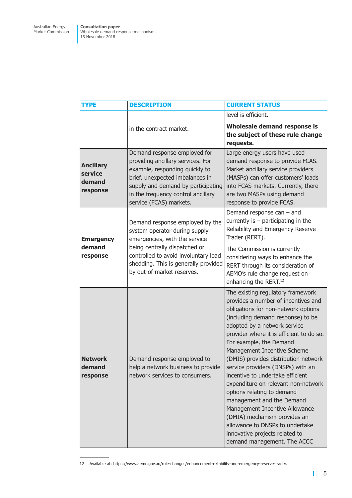| <b>TYPE</b>                                       | <b>DESCRIPTION</b>                                                                                                                                                                                                                               | <b>CURRENT STATUS</b>                                                                                                                                                                                                                                                                                                                                                                                                                                                                                                                                                                                                                                                               |
|---------------------------------------------------|--------------------------------------------------------------------------------------------------------------------------------------------------------------------------------------------------------------------------------------------------|-------------------------------------------------------------------------------------------------------------------------------------------------------------------------------------------------------------------------------------------------------------------------------------------------------------------------------------------------------------------------------------------------------------------------------------------------------------------------------------------------------------------------------------------------------------------------------------------------------------------------------------------------------------------------------------|
|                                                   |                                                                                                                                                                                                                                                  | level is efficient.                                                                                                                                                                                                                                                                                                                                                                                                                                                                                                                                                                                                                                                                 |
|                                                   | in the contract market.                                                                                                                                                                                                                          | Wholesale demand response is<br>the subject of these rule change<br>requests.                                                                                                                                                                                                                                                                                                                                                                                                                                                                                                                                                                                                       |
| <b>Ancillary</b><br>service<br>demand<br>response | Demand response employed for<br>providing ancillary services. For<br>example, responding quickly to<br>brief, unexpected imbalances in<br>supply and demand by participating<br>in the frequency control ancillary<br>service (FCAS) markets.    | Large energy users have used<br>demand response to provide FCAS.<br>Market ancillary service providers<br>(MASPs) can offer customers' loads<br>into FCAS markets. Currently, there<br>are two MASPs using demand<br>response to provide FCAS.                                                                                                                                                                                                                                                                                                                                                                                                                                      |
| <b>Emergency</b><br>demand<br>response            | Demand response employed by the<br>system operator during supply<br>emergencies, with the service<br>being centrally dispatched or<br>controlled to avoid involuntary load<br>shedding. This is generally provided<br>by out-of-market reserves. | Demand response can $-$ and<br>currently is $-$ participating in the<br>Reliability and Emergency Reserve<br>Trader (RERT).<br>The Commission is currently<br>considering ways to enhance the                                                                                                                                                                                                                                                                                                                                                                                                                                                                                       |
|                                                   |                                                                                                                                                                                                                                                  | RERT through its consideration of<br>AEMO's rule change request on<br>enhancing the RERT. <sup>12</sup>                                                                                                                                                                                                                                                                                                                                                                                                                                                                                                                                                                             |
| <b>Network</b><br>demand<br>response              | Demand response employed to<br>help a network business to provide<br>network services to consumers.                                                                                                                                              | The existing regulatory framework<br>provides a number of incentives and<br>obligations for non-network options<br>(including demand response) to be<br>adopted by a network service<br>provider where it is efficient to do so.<br>For example, the Demand<br>Management Incentive Scheme<br>(DMIS) provides distribution network<br>service providers (DNSPs) with an<br>incentive to undertake efficient<br>expenditure on relevant non-network<br>options relating to demand<br>management and the Demand<br>Management Incentive Allowance<br>(DMIA) mechanism provides an<br>allowance to DNSPs to undertake<br>innovative projects related to<br>demand management. The ACCC |

<sup>12</sup> Available at: https://www.aemc.gov.au/rule-changes/enhancement-reliability-and-emergency-reserve-trader.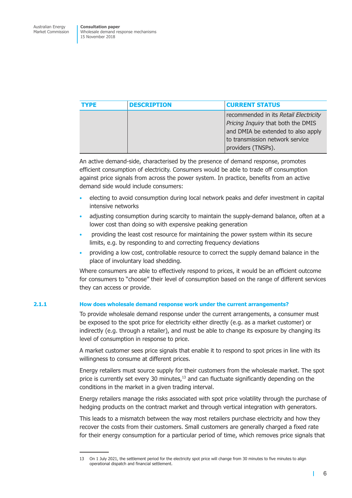| <b>TYPE</b> | <b>DESCRIPTION</b> | <b>CURRENT STATUS</b>                                                                                                                                                      |
|-------------|--------------------|----------------------------------------------------------------------------------------------------------------------------------------------------------------------------|
|             |                    | recommended in its Retail Electricity<br>Pricing Inquiry that both the DMIS<br>and DMIA be extended to also apply<br>to transmission network service<br>providers (TNSPs). |

An active demand-side, characterised by the presence of demand response, promotes efficient consumption of electricity. Consumers would be able to trade off consumption against price signals from across the power system. In practice, benefits from an active demand side would include consumers:

- electing to avoid consumption during local network peaks and defer investment in capital intensive networks
- adjusting consumption during scarcity to maintain the supply-demand balance, often at a lower cost than doing so with expensive peaking generation
- providing the least cost resource for maintaining the power system within its secure limits, e.g. by responding to and correcting frequency deviations
- providing a low cost, controllable resource to correct the supply demand balance in the place of involuntary load shedding.

Where consumers are able to effectively respond to prices, it would be an efficient outcome for consumers to "choose" their level of consumption based on the range of different services they can access or provide.

## **2.1.1 How does wholesale demand response work under the current arrangements?**

To provide wholesale demand response under the current arrangements, a consumer must be exposed to the spot price for electricity either directly (e.g. as a market customer) or indirectly (e.g. through a retailer), and must be able to change its exposure by changing its level of consumption in response to price.

A market customer sees price signals that enable it to respond to spot prices in line with its willingness to consume at different prices.

Energy retailers must source supply for their customers from the wholesale market. The spot price is currently set every 30 minutes,<sup>13</sup> and can fluctuate significantly depending on the conditions in the market in a given trading interval.

Energy retailers manage the risks associated with spot price volatility through the purchase of hedging products on the contract market and through vertical integration with generators.

This leads to a mismatch between the way most retailers purchase electricity and how they recover the costs from their customers. Small customers are generally charged a fixed rate for their energy consumption for a particular period of time, which removes price signals that

т

<sup>13</sup> On 1 July 2021, the settlement period for the electricity spot price will change from 30 minutes to five minutes to align operational dispatch and financial settlement.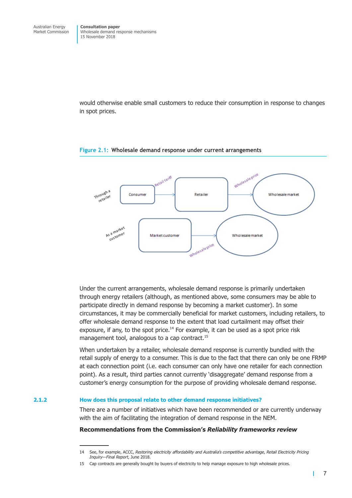<span id="page-13-0"></span>would otherwise enable small customers to reduce their consumption in response to changes in spot prices.



#### **Figure 2.1: Wholesale demand response under current arrangements**

Under the current arrangements, wholesale demand response is primarily undertaken through energy retailers (although, as mentioned above, some consumers may be able to participate directly in demand response by becoming a market customer). In some circumstances, it may be commercially beneficial for market customers, including retailers, to offer wholesale demand response to the extent that load curtailment may offset their exposure, if any, to the spot price.<sup>14</sup> For example, it can be used as a spot price risk management tool, analogous to a cap contract. 15

When undertaken by a retailer, wholesale demand response is currently bundled with the retail supply of energy to a consumer. This is due to the fact that there can only be one FRMP at each connection point (i.e. each consumer can only have one retailer for each connection point). As a result, third parties cannot currently 'disaggregate' demand response from a customer's energy consumption for the purpose of providing wholesale demand response.

#### **2.1.2 How does this proposal relate to other demand response initiatives?**

There are a number of initiatives which have been recommended or are currently underway with the aim of facilitating the integration of demand response in the NEM.

## **Recommendations from the Commission's** *Reliability frameworks review*

<sup>14</sup> See, for example, ACCC, *Restoring electricity affordability and Australia's competitive advantage, Retail Electricity Pricing Inquiry—Final Report*, June 2018.

<sup>15</sup> Cap contracts are generally bought by buyers of electricity to help manage exposure to high wholesale prices.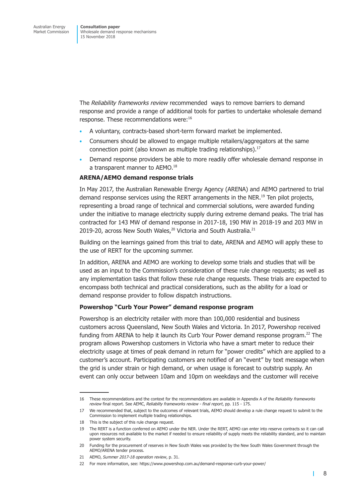The *Reliability frameworks review* recommended ways to remove barriers to demand response and provide a range of additional tools for parties to undertake wholesale demand response. These recommendations were: 16

- A voluntary, contracts-based short-term forward market be implemented.
- Consumers should be allowed to engage multiple retailers/aggregators at the same connection point (also known as multiple trading relationships). 17
- Demand response providers be able to more readily offer wholesale demand response in a transparent manner to AEMO.<sup>18</sup>

#### **ARENA/AEMO demand response trials**

In May 2017, the Australian Renewable Energy Agency (ARENA) and AEMO partnered to trial demand response services using the RERT arrangements in the NER.<sup>19</sup> Ten pilot projects, representing a broad range of technical and commercial solutions, were awarded funding under the initiative to manage electricity supply during extreme demand peaks. The trial has contracted for 143 MW of demand response in 2017-18, 190 MW in 2018-19 and 203 MW in 2019-20, across New South Wales, $^{20}$  Victoria and South Australia. $^{21}$ 

Building on the learnings gained from this trial to date, ARENA and AEMO will apply these to the use of RERT for the upcoming summer.

In addition, ARENA and AEMO are working to develop some trials and studies that will be used as an input to the Commission's consideration of these rule change requests; as well as any implementation tasks that follow these rule change requests. These trials are expected to encompass both technical and practical considerations, such as the ability for a load or demand response provider to follow dispatch instructions.

#### **Powershop "Curb Your Power" demand response program**

Powershop is an electricity retailer with more than 100,000 residential and business customers across Queensland, New South Wales and Victoria. In 2017, Powershop received funding from ARENA to help it launch its Curb Your Power demand response program.<sup>22</sup> The program allows Powershop customers in Victoria who have a smart meter to reduce their electricity usage at times of peak demand in return for "power credits" which are applied to a customer's account. Participating customers are notified of an "event" by text message when the grid is under strain or high demand, or when usage is forecast to outstrip supply. An event can only occur between 10am and 10pm on weekdays and the customer will receive

<sup>16</sup> These recommendations and the context for the recommendations are available in Appendix A of the *Reliability frameworks review* final report. See AEMC, *Reliabilty frameworks review - final report*, pp. 115 - 175.

<sup>17</sup> We recommended that, subject to the outcomes of relevant trials, AEMO should develop a rule change request to submit to the Commission to implement multiple trading relationships.

<sup>18</sup> This is the subject of this rule change request.

<sup>19</sup> The RERT is a function conferred on AEMO under the NER. Under the RERT, AEMO can enter into reserve contracts so it can call upon resources not available to the market if needed to ensure reliability of supply meets the reliability standard, and to maintain power system security.

<sup>20</sup> Funding for the procurement of reserves in New South Wales was provided by the New South Wales Government through the AEMO/ARENA tender process.

<sup>21</sup> AEMO, *Summer 2017-18 operation review*, p. 31.

<sup>22</sup> For more information, see: https://www.powershop.com.au/demand-response-curb-your-power/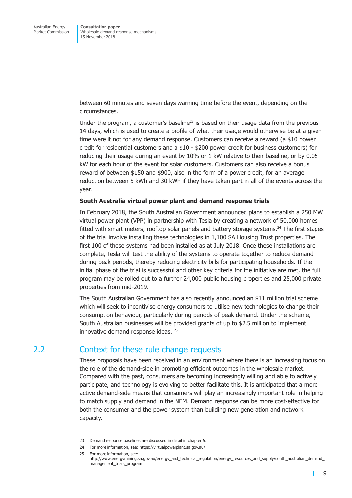<span id="page-15-0"></span>between 60 minutes and seven days warning time before the event, depending on the circumstances.

Under the program, a customer's baseline<sup>23</sup> is based on their usage data from the previous 14 days, which is used to create a profile of what their usage would otherwise be at a given time were it not for any demand response. Customers can receive a reward (a \$10 power credit for residential customers and a \$10 - \$200 power credit for business customers) for reducing their usage during an event by 10% or 1 kW relative to their baseline, or by 0.05 kW for each hour of the event for solar customers. Customers can also receive a bonus reward of between \$150 and \$900, also in the form of a power credit, for an average reduction between 5 kWh and 30 kWh if they have taken part in all of the events across the year.

#### **South Australia virtual power plant and demand response trials**

In February 2018, the South Australian Government announced plans to establish a 250 MW virtual power plant (VPP) in partnership with Tesla by creating a network of 50,000 homes fitted with smart meters, rooftop solar panels and battery storage systems.<sup>24</sup> The first stages of the trial involve installing these technologies in 1,100 SA Housing Trust properties. The first 100 of these systems had been installed as at July 2018. Once these installations are complete, Tesla will test the ability of the systems to operate together to reduce demand during peak periods, thereby reducing electricity bills for participating households. If the initial phase of the trial is successful and other key criteria for the initiative are met, the full program may be rolled out to a further 24,000 public housing properties and 25,000 private properties from mid-2019.

The South Australian Government has also recently announced an \$11 million trial scheme which will seek to incentivise energy consumers to utilise new technologies to change their consumption behaviour, particularly during periods of peak demand. Under the scheme, South Australian businesses will be provided grants of up to \$2.5 million to implement innovative demand response ideas. <sup>25</sup>

## 2.2 Context for these rule change requests

These proposals have been received in an environment where there is an increasing focus on the role of the demand-side in promoting efficient outcomes in the wholesale market. Compared with the past, consumers are becoming increasingly willing and able to actively participate, and technology is evolving to better facilitate this. It is anticipated that a more active demand-side means that consumers will play an increasingly important role in helping to match supply and demand in the NEM. Demand response can be more cost-effective for both the consumer and the power system than building new generation and network capacity.

т

<sup>23</sup> Demand response baselines are discussed in detail in chapter 5.

<sup>24</sup> For more information, see: https://virtualpowerplant.sa.gov.au/

<sup>25</sup> For more information, see:

http://www.energymining.sa.gov.au/energy\_and\_technical\_regulation/energy\_resources\_and\_supply/south\_australian\_demand\_ management\_trials\_program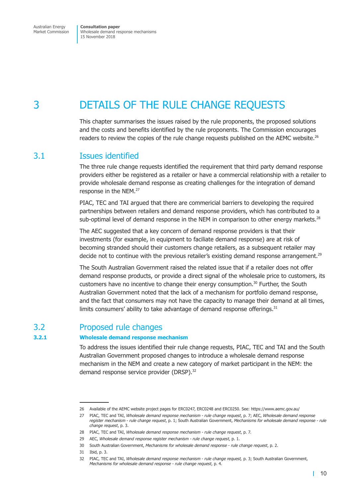<span id="page-16-0"></span>Australian Energy Market Commission **Consultation paper** Wholesale demand response mechanisms 15 November 2018

# 3 DETAILS OF THE RULE CHANGE REQUESTS

This chapter summarises the issues raised by the rule proponents, the proposed solutions and the costs and benefits identified by the rule proponents. The Commission encourages readers to review the copies of the rule change requests published on the AEMC website.<sup>26</sup>

# 3.1 Issues identified

The three rule change requests identified the requirement that third party demand response providers either be registered as a retailer or have a commercial relationship with a retailer to provide wholesale demand response as creating challenges for the integration of demand response in the NEM. 27

PIAC, TEC and TAI argued that there are commericial barriers to developing the required partnerships between retailers and demand response providers, which has contributed to a sub-optimal level of demand response in the NEM in comparison to other energy markets. $^{28}$ 

The AEC suggested that a key concern of demand response providers is that their investments (for example, in equipment to faciliate demand response) are at risk of becoming stranded should their customers change retailers, as a subsequent retailer may decide not to continue with the previous retailer's existing demand response arrangement.<sup>29</sup>

The South Australian Government raised the related issue that if a retailer does not offer demand response products, or provide a direct signal of the wholesale price to customers, its customers have no incentive to change their energy consumption. <sup>30</sup> Further, the South Australian Government noted that the lack of a mechanism for portfolio demand response, and the fact that consumers may not have the capacity to manage their demand at all times, limits consumers' ability to take advantage of demand response offerings.<sup>31</sup>

# 3.2 Proposed rule changes

## **3.2.1 Wholesale demand response mechanism**

To address the issues identified their rule change requests, PIAC, TEC and TAI and the South Australian Government proposed changes to introduce a wholesale demand response mechanism in the NEM and create a new category of market participant in the NEM: the demand response service provider (DRSP). 32

<sup>26</sup> Available of the AEMC website project pages for ERC0247, ERC0248 and ERC0250. See: https://www.aemc.gov.au/

<sup>27</sup> PIAC, TEC and TAI, *Wholesale demand response mechanism - rule change request*, p. 7; AEC, *Wholesale demand response register mechanism - rule change request*, p. 1; South Australian Government, *Mechanisms for wholesale demand response - rule change request*, p. 3.

<sup>28</sup> PIAC, TEC and TAI, *Wholesale demand response mechanism - rule change request*, p. 7.

<sup>29</sup> AEC, *Wholesale demand response register mechanism - rule change request*, p. 1.

<sup>30</sup> South Australian Government, *Mechanisms for wholesale demand response - rule change request*, p. 2.

<sup>31</sup> Ibid, p. 3.

<sup>32</sup> PIAC, TEC and TAI, *Wholesale demand response mechanism - rule change request,* p. 3; South Australian Government, *Mechanisms for wholesale demand response - rule change request*, p. 4.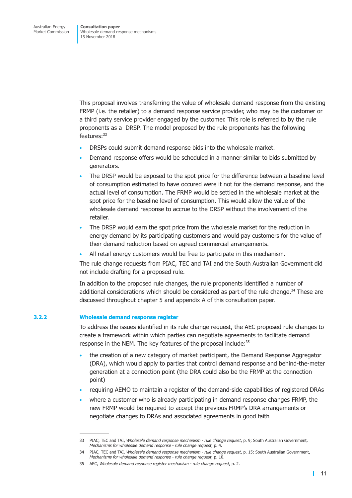This proposal involves transferring the value of wholesale demand response from the existing FRMP (i.e. the retailer) to a demand response service provider, who may be the customer or a third party service provider engaged by the customer. This role is referred to by the rule proponents as a DRSP. The model proposed by the rule proponents has the following features: 33

- DRSPs could submit demand response bids into the wholesale market.
- Demand response offers would be scheduled in a manner similar to bids submitted by generators.
- The DRSP would be exposed to the spot price for the difference between a baseline level of consumption estimated to have occured were it not for the demand response, and the actual level of consumption. The FRMP would be settled in the wholesale market at the spot price for the baseline level of consumption. This would allow the value of the wholesale demand response to accrue to the DRSP without the involvement of the retailer.
- The DRSP would earn the spot price from the wholesale market for the reduction in energy demand by its participating customers and would pay customers for the value of their demand reduction based on agreed commercial arrangements.
- All retail energy customers would be free to participate in this mechanism.

The rule change requests from PIAC, TEC and TAI and the South Australian Government did not include drafting for a proposed rule.

In addition to the proposed rule changes, the rule proponents identified a number of additional considerations which should be considered as part of the rule change.<sup>34</sup> These are discussed throughout chapter 5 and appendix A of this consultation paper.

#### **3.2.2 Wholesale demand response register**

To address the issues identified in its rule change request, the AEC proposed rule changes to create a framework within which parties can negotiate agreements to facilitate demand response in the NEM. The key features of the proposal include: 35

- the creation of a new category of market participant, the Demand Response Aggregator (DRA), which would apply to parties that control demand response and behind-the-meter generation at a connection point (the DRA could also be the FRMP at the connection point)
- requiring AEMO to maintain a register of the demand-side capabilities of registered DRAs
- where a customer who is already participating in demand response changes FRMP, the new FRMP would be required to accept the previous FRMP's DRA arrangements or negotiate changes to DRAs and associated agreements in good faith

<sup>33</sup> PIAC, TEC and TAI, *Wholesale demand response mechanism - rule change request*, p. 9; South Australian Government, *Mechanisms for wholesale demand response - rule change request*, p. 4.

<sup>34</sup> PIAC, TEC and TAI, *Wholesale demand response mechanism - rule change request*, p. 15; South Australian Government, *Mechanisms for wholesale demand response - rule change request*, p. 10.

<sup>35</sup> AEC, *Wholesale demand response register mechanism - rule change request*, p. 2.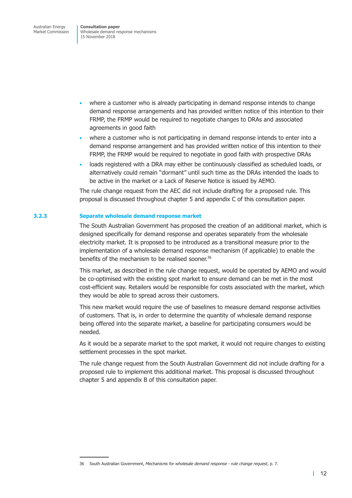- where a customer who is already participating in demand response intends to change demand response arrangements and has provided written notice of this intention to their FRMP, the FRMP would be required to negotiate changes to DRAs and associated agreements in good faith
- where a customer who is not participating in demand response intends to enter into a demand response arrangement and has provided written notice of this intention to their FRMP, the FRMP would be required to negotiate in good faith with prospective DRAs
- loads registered with a DRA may either be continuously classified as scheduled loads, or alternatively could remain "dormant" until such time as the DRAs intended the loads to be active in the market or a Lack of Reserve Notice is issued by AEMO.

The rule change request from the AEC did not include drafting for a proposed rule. This proposal is discussed throughout chapter 5 and appendix C of this consultation paper.

## **3.2.3 Separate wholesale demand response market**

The South Australian Government has proposed the creation of an additional market, which is designed specifically for demand response and operates separately from the wholesale electricity market. It is proposed to be introduced as a transitional measure prior to the implementation of a wholesale demand response mechanism (if applicable) to enable the benefits of the mechanism to be realised sooner. 36

This market, as described in the rule change request, would be operated by AEMO and would be co-optimised with the existing spot market to ensure demand can be met in the most cost-efficient way. Retailers would be responsible for costs associated with the market, which they would be able to spread across their customers.

This new market would require the use of baselines to measure demand response activities of customers. That is, in order to determine the quantity of wholesale demand response being offered into the separate market, a baseline for participating consumers would be needed.

As it would be a separate market to the spot market, it would not require changes to existing settlement processes in the spot market.

The rule change request from the South Australian Government did not include drafting for a proposed rule to implement this additional market. This proposal is discussed throughout chapter 5 and appendix B of this consultation paper.

<sup>36</sup> South Australian Government, *Mechanisms for wholesale demand response - rule change request*, p. 7.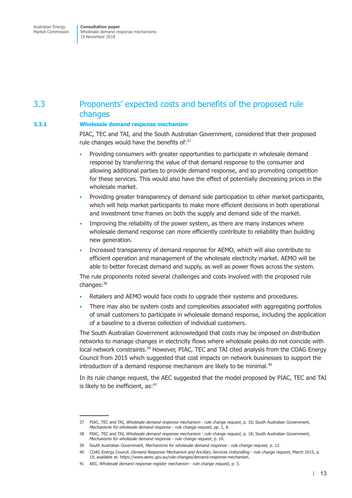# <span id="page-19-0"></span>3.3 Proponents' expected costs and benefits of the proposed rule changes

## **3.3.1 Wholesale demand response mechanism**

PIAC, TEC and TAI, and the South Australian Government, considered that their proposed rule changes would have the benefits of:<sup>37</sup>

- Providing consumers with greater opportunities to participate in wholesale demand response by transferring the value of that demand response to the consumer and allowing additional parties to provide demand response, and so promoting competition for these services. This would also have the effect of potentially decreasing prices in the wholesale market.
- Providing greater transparency of demand side participation to other market participants, which will help market participants to make more efficient decisions in both operational and investment time frames on both the supply and demand side of the market.
- Improving the reliability of the power system, as there are many instances where wholesale demand response can more efficiently contribute to reliability than building new generation.
- Increased transparency of demand response for AEMO, which will also contribute to efficient operation and management of the wholesale electricity market. AEMO will be able to better forecast demand and supply, as well as power flows across the system.

The rule proponents noted several challenges and costs involved with the proposed rule changes: 38

- Retailers and AEMO would face costs to upgrade their systems and procedures.
- There may also be system costs and complexities associated with aggregating portfolios of small customers to participate in wholesale demand response, including the application of a baseline to a diverse collection of individual customers.

The South Australian Government acknowledged that costs may be imposed on distribution networks to manage changes in electricity flows where wholesale peaks do not coincide with local network constraints.<sup>39</sup> However, PIAC, TEC and TAI cited analysis from the COAG Energy Council from 2015 which suggested that cost impacts on network businesses to support the introduction of a demand response mechanism are likely to be minimal. $40$ 

In its rule change request, the AEC suggested that the model proposed by PIAC, TEC and TAI is likely to be inefficient, as:<sup>41</sup>

<sup>37</sup> PIAC, TEC and TAI, *Wholesale demand response mechanism - rule change request*, p. 16; South Australian Government, *Mechanisms for wholesale demand response - rule change request*, pp. 1, 8.

<sup>38</sup> PIAC, TEC and TAI, *Wholesale demand response mechanism - rule change request*, p. 18; South Australian Government, *Mechanisms for wholesale demand response - rule change request*, p. 10.

<sup>39</sup> South Australian Government, *Mechanisms for wholesale demand response - rule change request,* p. 12.

<sup>40</sup> COAG Energy Council, *Demand Response Mechanism and Ancillary Services Unbundling - rule change request*, March 2015, p. 19, available at: https://www.aemc.gov.au/rule-changes/demand-response-mechanism.

<sup>41</sup> AEC, *Wholesale demand response register mechanism - rule change request*, p. 3.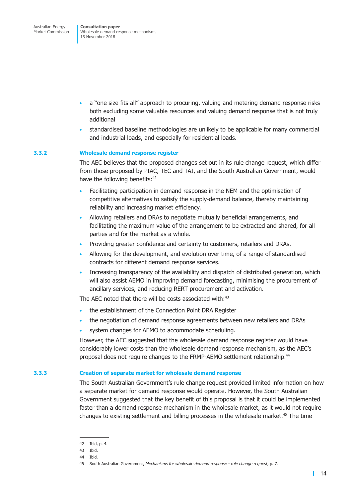- a "one size fits all" approach to procuring, valuing and metering demand response risks both excluding some valuable resources and valuing demand response that is not truly additional
- standardised baseline methodologies are unlikely to be applicable for many commercial and industrial loads, and especially for residential loads.

#### **3.3.2 Wholesale demand response register**

The AEC believes that the proposed changes set out in its rule change request, which differ from those proposed by PIAC, TEC and TAI, and the South Australian Government, would have the following benefits:<sup>42</sup>

- Facilitating participation in demand response in the NEM and the optimisation of competitive alternatives to satisfy the supply-demand balance, thereby maintaining reliability and increasing market efficiency.
- Allowing retailers and DRAs to negotiate mutually beneficial arrangements, and facilitating the maximum value of the arrangement to be extracted and shared, for all parties and for the market as a whole.
- Providing greater confidence and certainty to customers, retailers and DRAs.
- Allowing for the development, and evolution over time, of a range of standardised contracts for different demand response services.
- Increasing transparency of the availability and dispatch of distributed generation, which will also assist AEMO in improving demand forecasting, minimising the procurement of ancillary services, and reducing RERT procurement and activation.

The AEC noted that there will be costs associated with:<sup>43</sup>

- the establishment of the Connection Point DRA Register
- the negotiation of demand response agreements between new retailers and DRAs
- system changes for AEMO to accommodate scheduling.

However, the AEC suggested that the wholesale demand response register would have considerably lower costs than the wholesale demand response mechanism, as the AEC's proposal does not require changes to the FRMP-AEMO settlement relationship.<sup>44</sup>

## **3.3.3 Creation of separate market for wholesale demand response**

The South Australian Government's rule change request provided limited information on how a separate market for demand response would operate. However, the South Australian Government suggested that the key benefit of this proposal is that it could be implemented faster than a demand response mechanism in the wholesale market, as it would not require changes to existing settlement and billing processes in the wholesale market. <sup>45</sup> The time

<sup>42</sup> Ibid, p. 4.

<sup>43</sup> Ibid.

<sup>44</sup> Ibid.

<sup>45</sup> South Australian Government, *Mechanisms for wholesale demand response - rule change request*, p. 7.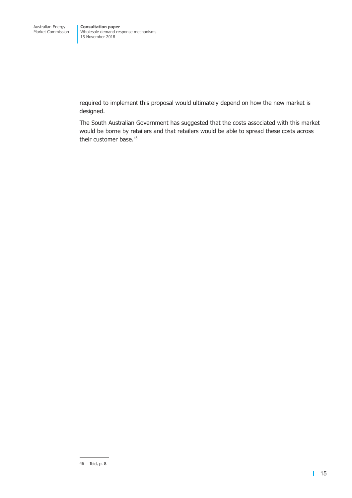required to implement this proposal would ultimately depend on how the new market is designed.

The South Australian Government has suggested that the costs associated with this market would be borne by retailers and that retailers would be able to spread these costs across their customer base. 46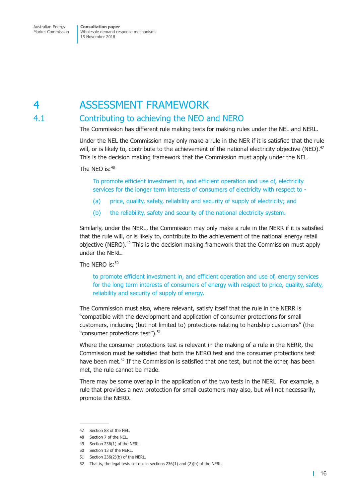# <span id="page-22-0"></span>4 ASSESSMENT FRAMEWORK

# 4.1 Contributing to achieving the NEO and NERO

The Commission has different rule making tests for making rules under the NEL and NERL.

Under the NEL the Commission may only make a rule in the NER if it is satisfied that the rule will, or is likely to, contribute to the achievement of the national electricity objective (NEO).<sup>47</sup> This is the decision making framework that the Commission must apply under the NEL.

The NEO is: $48$ 

To promote efficient investment in, and efficient operation and use of, electricity services for the longer term interests of consumers of electricity with respect to -

- (a) price, quality, safety, reliability and security of supply of electricity; and
- (b) the reliability, safety and security of the national electricity system.

Similarly, under the NERL, the Commission may only make a rule in the NERR if it is satisfied that the rule will, or is likely to, contribute to the achievement of the national energy retail objective (NERO). <sup>49</sup> This is the decision making framework that the Commission must apply under the NERL.

The NERO is:<sup>50</sup>

to promote efficient investment in, and efficient operation and use of, energy services for the long term interests of consumers of energy with respect to price, quality, safety, reliability and security of supply of energy.

The Commission must also, where relevant, satisfy itself that the rule in the NERR is "compatible with the development and application of consumer protections for small customers, including (but not limited to) protections relating to hardship customers" (the "consumer protections test"). 51

Where the consumer protections test is relevant in the making of a rule in the NERR, the Commission must be satisfied that both the NERO test and the consumer protections test have been met. <sup>52</sup> If the Commission is satisfied that one test, but not the other, has been met, the rule cannot be made.

There may be some overlap in the application of the two tests in the NERL. For example, a rule that provides a new protection for small customers may also, but will not necessarily, promote the NERO.

<sup>47</sup> Section 88 of the NEL.

<sup>48</sup> Section 7 of the NEL.

<sup>49</sup> Section 236(1) of the NERL.

<sup>50</sup> Section 13 of the NERL.

<sup>51</sup> Section 236(2)(b) of the NERL.

<sup>52</sup> That is, the legal tests set out in sections 236(1) and (2)(b) of the NERL.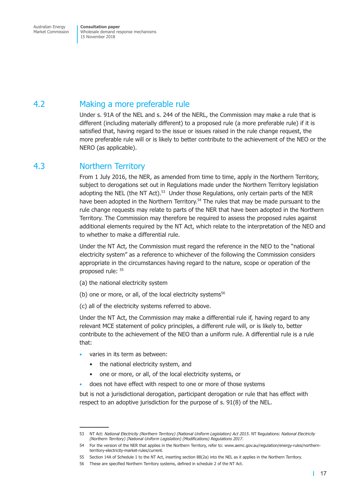# <span id="page-23-0"></span>4.2 Making a more preferable rule

Under s. 91A of the NEL and s. 244 of the NERL, the Commission may make a rule that is different (including materially different) to a proposed rule (a more preferable rule) if it is satisfied that, having regard to the issue or issues raised in the rule change request, the more preferable rule will or is likely to better contribute to the achievement of the NEO or the NERO (as applicable).

# 4.3 Northern Territory

From 1 July 2016, the NER, as amended from time to time, apply in the Northern Territory, subject to derogations set out in Regulations made under the Northern Territory legislation adopting the NEL (the NT Act).<sup>53</sup> Under those Regulations, only certain parts of the NER have been adopted in the Northern Territory.<sup>54</sup> The rules that may be made pursuant to the rule change requests may relate to parts of the NER that have been adopted in the Northern Territory. The Commission may therefore be required to assess the proposed rules against additional elements required by the NT Act, which relate to the interpretation of the NEO and to whether to make a differential rule.

Under the NT Act, the Commission must regard the reference in the NEO to the "national electricity system" as a reference to whichever of the following the Commission considers appropriate in the circumstances having regard to the nature, scope or operation of the proposed rule: <sup>55</sup>

- (a) the national electricity system
- (b) one or more, or all, of the local electricity systems $56$
- (c) all of the electricity systems referred to above.

Under the NT Act, the Commission may make a differential rule if, having regard to any relevant MCE statement of policy principles, a different rule will, or is likely to, better contribute to the achievement of the NEO than a uniform rule. A differential rule is a rule that:

- varies in its term as between:
	- the national electricity system, and
	- one or more, or all, of the local electricity systems, or
- does not have effect with respect to one or more of those systems

but is not a jurisdictional derogation, participant derogation or rule that has effect with respect to an adoptive jurisdiction for the purpose of s. 91(8) of the NEL.

<sup>53</sup> NT Act: *National Electricity (Northern Territory) (National Uniform Legislation) Act 2015*. NT Regulations: *National Electricity (Northern Territory) (National Uniform Legislation) (Modifications) Regulations 2017*.

<sup>54</sup> For the version of the NER that applies in the Northern Territory, refer to: www.aemc.gov.au/regulation/energy-rules/northernterritory-electricity-market-rules/current.

<sup>55</sup> Section 14A of Schedule 1 to the NT Act, inserting section 88(2a) into the NEL as it applies in the Northern Territory.

<sup>56</sup> These are specified Northern Territory systems, defined in schedule 2 of the NT Act.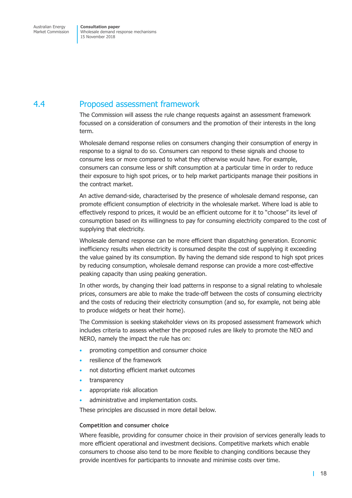# <span id="page-24-0"></span>4.4 Proposed assessment framework

The Commission will assess the rule change requests against an assessment framework focussed on a consideration of consumers and the promotion of their interests in the long term.

Wholesale demand response relies on consumers changing their consumption of energy in response to a signal to do so. Consumers can respond to these signals and choose to consume less or more compared to what they otherwise would have. For example, consumers can consume less or shift consumption at a particular time in order to reduce their exposure to high spot prices, or to help market participants manage their positions in the contract market.

An active demand-side, characterised by the presence of wholesale demand response, can promote efficient consumption of electricity in the wholesale market. Where load is able to effectively respond to prices, it would be an efficient outcome for it to "choose" its level of consumption based on its willingness to pay for consuming electricity compared to the cost of supplying that electricity.

Wholesale demand response can be more efficient than dispatching generation. Economic inefficiency results when electricity is consumed despite the cost of supplying it exceeding the value gained by its consumption. By having the demand side respond to high spot prices by reducing consumption, wholesale demand response can provide a more cost-effective peaking capacity than using peaking generation.

In other words, by changing their load patterns in response to a signal relating to wholesale prices, consumers are able to make the trade-off between the costs of consuming electricity and the costs of reducing their electricity consumption (and so, for example, not being able to produce widgets or heat their home).

The Commission is seeking stakeholder views on its proposed assessment framework which includes criteria to assess whether the proposed rules are likely to promote the NEO and NERO, namely the impact the rule has on:

- promoting competition and consumer choice
- resilience of the framework
- not distorting efficient market outcomes
- transparency
- appropriate risk allocation
- administrative and implementation costs.

These principles are discussed in more detail below.

#### **Competition and consumer choice**

Where feasible, providing for consumer choice in their provision of services generally leads to more efficient operational and investment decisions. Competitive markets which enable consumers to choose also tend to be more flexible to changing conditions because they provide incentives for participants to innovate and minimise costs over time.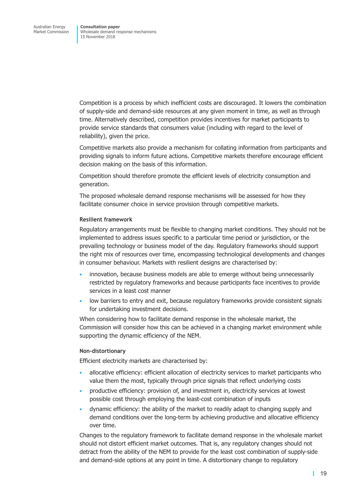Competition is a process by which inefficient costs are discouraged. It lowers the combination of supply-side and demand-side resources at any given moment in time, as well as through time. Alternatively described, competition provides incentives for market participants to provide service standards that consumers value (including with regard to the level of reliability), given the price.

Competitive markets also provide a mechanism for collating information from participants and providing signals to inform future actions. Competitive markets therefore encourage efficient decision making on the basis of this information.

Competition should therefore promote the efficient levels of electricity consumption and generation.

The proposed wholesale demand response mechanisms will be assessed for how they facilitate consumer choice in service provision through competitive markets.

## **Resilient framework**

Regulatory arrangements must be flexible to changing market conditions. They should not be implemented to address issues specific to a particular time period or jurisdiction, or the prevailing technology or business model of the day. Regulatory frameworks should support the right mix of resources over time, encompassing technological developments and changes in consumer behaviour. Markets with resilient designs are characterised by:

- innovation, because business models are able to emerge without being unnecessarily restricted by regulatory frameworks and because participants face incentives to provide services in a least cost manner
- low barriers to entry and exit, because regulatory frameworks provide consistent signals for undertaking investment decisions.

When considering how to facilitate demand response in the wholesale market, the Commission will consider how this can be achieved in a changing market environment while supporting the dynamic efficiency of the NEM.

## **Non-distortionary**

Efficient electricity markets are characterised by:

- allocative efficiency: efficient allocation of electricity services to market participants who value them the most, typically through price signals that reflect underlying costs
- productive efficiency: provision of, and investment in, electricity services at lowest possible cost through employing the least-cost combination of inputs
- dynamic efficiency: the ability of the market to readily adapt to changing supply and demand conditions over the long-term by achieving productive and allocative efficiency over time.

Changes to the regulatory framework to facilitate demand response in the wholesale market should not distort efficient market outcomes. That is, any regulatory changes should not detract from the ability of the NEM to provide for the least cost combination of supply-side and demand-side options at any point in time. A distortionary change to regulatory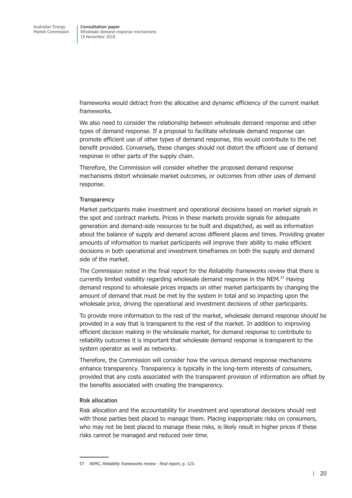frameworks would detract from the allocative and dynamic efficiency of the current market frameworks.

We also need to consider the relationship between wholesale demand response and other types of demand response. If a proposal to facilitate wholesale demand response can promote efficient use of other types of demand response, this would contribute to the net benefit provided. Conversely, these changes should not distort the efficient use of demand response in other parts of the supply chain.

Therefore, the Commission will consider whether the proposed demand response mechanisms distort wholesale market outcomes, or outcomes from other uses of demand response.

#### **Transparency**

Market participants make investment and operational decisions based on market signals in the spot and contract markets. Prices in these markets provide signals for adequate generation and demand-side resources to be built and dispatched, as well as information about the balance of supply and demand across different places and times. Providing greater amounts of information to market participants will improve their ability to make efficient decisions in both operational and investment timeframes on both the supply and demand side of the market.

The Commission noted in the final report for the *Reliability frameworks review* that there is currently limited visibility regarding wholesale demand response in the NEM. <sup>57</sup> Having demand respond to wholesale prices impacts on other market participants by changing the amount of demand that must be met by the system in total and so impacting upon the wholesale price, driving the operational and investment decisions of other participants.

To provide more information to the rest of the market, wholesale demand response should be provided in a way that is transparent to the rest of the market. In addition to improving efficient decision making in the wholesale market, for demand response to contribute to reliability outcomes it is important that wholesale demand response is transparent to the system operator as well as networks.

Therefore, the Commission will consider how the various demand response mechanisms enhance transparency. Transparency is typically in the long-term interests of consumers, provided that any costs associated with the transparent provision of information are offset by the benefits associated with creating the transparency.

#### **Risk allocation**

Risk allocation and the accountability for investment and operational decisions should rest with those parties best placed to manage them. Placing inappropriate risks on consumers, who may not be best placed to manage these risks, is likely result in higher prices if these risks cannot be managed and reduced over time.

<sup>57</sup> AEMC, *Reliability frameworks review - final report*, p. 123.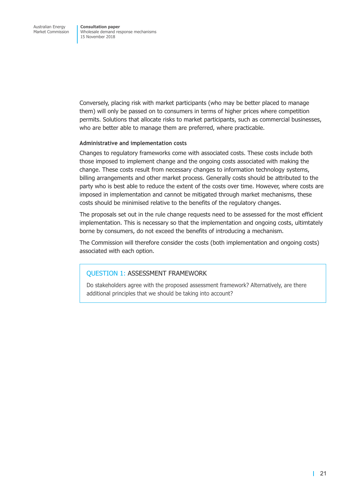Conversely, placing risk with market participants (who may be better placed to manage them) will only be passed on to consumers in terms of higher prices where competition permits. Solutions that allocate risks to market participants, such as commercial businesses, who are better able to manage them are preferred, where practicable.

#### **Administrative and implementation costs**

Changes to regulatory frameworks come with associated costs. These costs include both those imposed to implement change and the ongoing costs associated with making the change. These costs result from necessary changes to information technology systems, billing arrangements and other market process. Generally costs should be attributed to the party who is best able to reduce the extent of the costs over time. However, where costs are imposed in implementation and cannot be mitigated through market mechanisms, these costs should be minimised relative to the benefits of the regulatory changes.

The proposals set out in the rule change requests need to be assessed for the most efficient implementation. This is necessary so that the implementation and ongoing costs, ultimtately borne by consumers, do not exceed the benefits of introducing a mechanism.

The Commission will therefore consider the costs (both implementation and ongoing costs) associated with each option.

## QUESTION 1: ASSESSMENT FRAMEWORK

Do stakeholders agree with the proposed assessment framework? Alternatively, are there additional principles that we should be taking into account?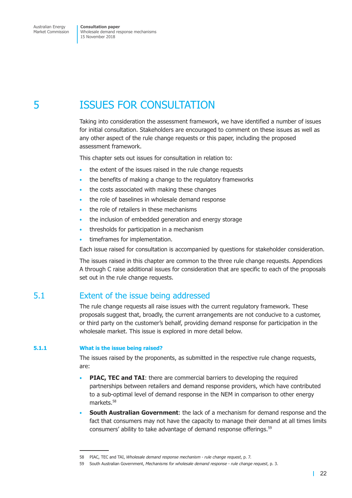<span id="page-28-0"></span>5 ISSUES FOR CONSULTATION

Taking into consideration the assessment framework, we have identified a number of issues for initial consultation. Stakeholders are encouraged to comment on these issues as well as any other aspect of the rule change requests or this paper, including the proposed assessment framework.

This chapter sets out issues for consultation in relation to:

- the extent of the issues raised in the rule change requests
- the benefits of making a change to the regulatory frameworks
- the costs associated with making these changes
- the role of baselines in wholesale demand response
- the role of retailers in these mechanisms
- the inclusion of embedded generation and energy storage
- thresholds for participation in a mechanism
- timeframes for implementation.

Each issue raised for consultation is accompanied by questions for stakeholder consideration.

The issues raised in this chapter are common to the three rule change requests. Appendices A through C raise additional issues for consideration that are specific to each of the proposals set out in the rule change requests.

# 5.1 Extent of the issue being addressed

The rule change requests all raise issues with the current regulatory framework. These proposals suggest that, broadly, the current arrangements are not conducive to a customer, or third party on the customer's behalf, providing demand response for participation in the wholesale market. This issue is explored in more detail below.

#### **5.1.1 What is the issue being raised?**

The issues raised by the proponents, as submitted in the respective rule change requests, are:

- **PIAC, TEC and TAI**: there are commercial barriers to developing the required partnerships between retailers and demand response providers, which have contributed to a sub-optimal level of demand response in the NEM in comparison to other energy markets. 58
- **South Australian Government**: the lack of a mechanism for demand response and the fact that consumers may not have the capacity to manage their demand at all times limits consumers' ability to take advantage of demand response offerings.<sup>59</sup>

<sup>58</sup> PIAC, TEC and TAI, *Wholesale demand response mechanism - rule change request*, p. 7.

<sup>59</sup> South Australian Government, *Mechanisms for wholesale demand response - rule change request*, p. 3.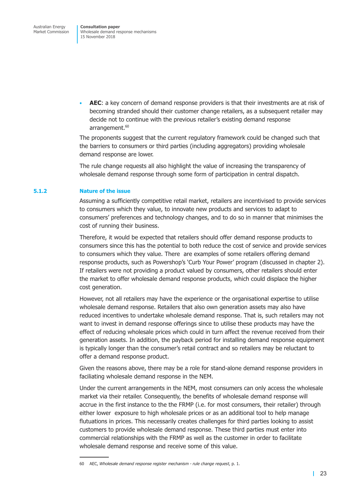• **AEC**: a key concern of demand response providers is that their investments are at risk of becoming stranded should their customer change retailers, as a subsequent retailer may decide not to continue with the previous retailer's existing demand response arrangement. 60

The proponents suggest that the current regulatory framework could be changed such that the barriers to consumers or third parties (including aggregators) providing wholesale demand response are lower.

The rule change requests all also highlight the value of increasing the transparency of wholesale demand response through some form of participation in central dispatch.

#### **5.1.2 Nature of the issue**

Assuming a sufficiently competitive retail market, retailers are incentivised to provide services to consumers which they value, to innovate new products and services to adapt to consumers' preferences and technology changes, and to do so in manner that minimises the cost of running their business.

Therefore, it would be expected that retailers should offer demand response products to consumers since this has the potential to both reduce the cost of service and provide services to consumers which they value. There are examples of some retailers offering demand response products, such as Powershop's 'Curb Your Power' program (discussed in chapter 2). If retailers were not providing a product valued by consumers, other retailers should enter the market to offer wholesale demand response products, which could displace the higher cost generation.

However, not all retailers may have the experience or the organisational expertise to utilise wholesale demand response. Retailers that also own generation assets may also have reduced incentives to undertake wholesale demand response. That is, such retailers may not want to invest in demand response offerings since to utilise these products may have the effect of reducing wholesale prices which could in turn affect the revenue received from their generation assets. In addition, the payback period for installing demand response equipment is typically longer than the consumer's retail contract and so retailers may be reluctant to offer a demand response product.

Given the reasons above, there may be a role for stand-alone demand response providers in faciliating wholesale demand response in the NEM.

Under the current arrangements in the NEM, most consumers can only access the wholesale market via their retailer. Consequently, the benefits of wholesale demand response will accrue in the first instance to the the FRMP (i.e. for most consumers, their retailer) through either lower exposure to high wholesale prices or as an additional tool to help manage flutuations in prices. This necessarily creates challenges for third parties looking to assist customers to provide wholesale demand response. These third parties must enter into commercial relationships with the FRMP as well as the customer in order to facilitate wholesale demand response and receive some of this value.

<sup>60</sup> AEC, *Wholesale demand response register mechanism - rule change request*, p. 1.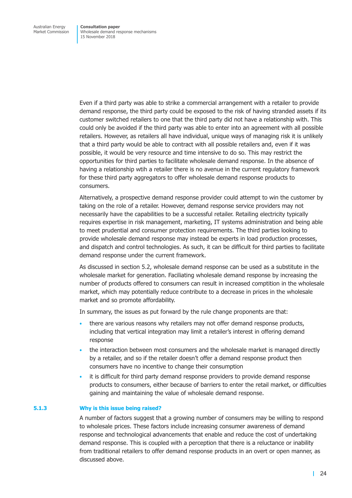Even if a third party was able to strike a commercial arrangement with a retailer to provide demand response, the third party could be exposed to the risk of having stranded assets if its customer switched retailers to one that the third party did not have a relationship with. This could only be avoided if the third party was able to enter into an agreement with all possible retailers. However, as retailers all have individual, unique ways of managing risk it is unlikely that a third party would be able to contract with all possible retailers and, even if it was possible, it would be very resource and time intensive to do so. This may restrict the opportunities for third parties to facilitate wholesale demand response. In the absence of having a relationship wtih a retailer there is no avenue in the current regulatory framework for these third party aggregators to offer wholesale demand response products to consumers.

Alternatively, a prospective demand response provider could attempt to win the customer by taking on the role of a retailer. However, demand response service providers may not necessarily have the capabilities to be a successful retailer. Retailing electricity typically requires expertise in risk management, marketing, IT systems administration and being able to meet prudential and consumer protection requirements. The third parties looking to provide wholesale demand response may instead be experts in load production processes, and dispatch and control technologies. As such, it can be difficult for third parties to facilitate demand response under the current framework.

As discussed in [section](#page-35-1) 5.2, wholesale demand response can be used as a substitute in the wholesale market for generation. Faciliating wholesale demand response by increasing the number of products offered to consumers can result in increased comptition in the wholesale market, which may potentially reduce contribute to a decrease in prices in the wholesale market and so promote affordability.

In summary, the issues as put forward by the rule change proponents are that:

- there are various reasons why retailers may not offer demand response products, including that vertical integration may limit a retailer's interest in offering demand response
- the interaction between most consumers and the wholesale market is managed directly by a retailer, and so if the retailer doesn't offer a demand response product then consumers have no incentive to change their consumption
- it is difficult for third party demand response providers to provide demand response products to consumers, either because of barriers to enter the retail market, or difficulties gaining and maintaining the value of wholesale demand response.

#### **5.1.3 Why is this issue being raised?**

A number of factors suggest that a growing number of consumers may be willing to respond to wholesale prices. These factors include increasing consumer awareness of demand response and technological advancements that enable and reduce the cost of undertaking demand response. This is coupled with a perception that there is a reluctance or inability from traditional retailers to offer demand response products in an overt or open manner, as discussed above.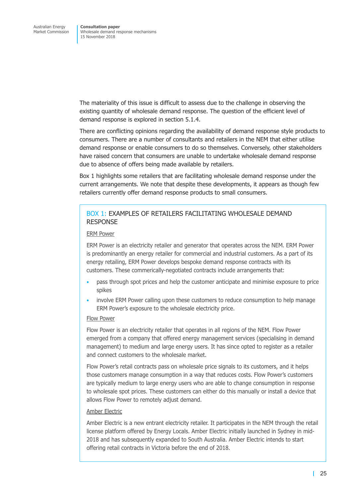The materiality of this issue is difficult to assess due to the challenge in observing the existing quantity of wholesale demand response. The question of the efficient level of demand response is explored in [section](#page-32-0) 5.1.4.

There are conflicting opinions regarding the availability of demand response style products to consumers. There are a number of consultants and retailers in the NEM that either utilise demand response or enable consumers to do so themselves. Conversely, other stakeholders have raised concern that consumers are unable to undertake wholesale demand response due to absence of offers being made available by retailers.

<span id="page-31-0"></span>[Box](#page-31-0) 1 highlights some retailers that are facilitating wholesale demand response under the current arrangements. We note that despite these developments, it appears as though few retailers currently offer demand response products to small consumers.

## BOX 1: EXAMPLES OF RETAILERS FACILITATING WHOLESALE DEMAND RESPONSE

#### ERM Power

ERM Power is an electricity retailer and generator that operates across the NEM. ERM Power is predominantly an energy retailer for commercial and industrial customers. As a part of its energy retailing, ERM Power develops bespoke demand response contracts with its customers. These commerically-negotiated contracts include arrangements that:

- pass through spot prices and help the customer anticipate and minimise exposure to price spikes
- involve ERM Power calling upon these customers to reduce consumption to help manage ERM Power's exposure to the wholesale electricity price.

## Flow Power

Flow Power is an electricity retailer that operates in all regions of the NEM. Flow Power emerged from a company that offered energy management services (specialising in demand management) to medium and large energy users. It has since opted to register as a retailer and connect customers to the wholesale market.

Flow Power's retail contracts pass on wholesale price signals to its customers, and it helps those customers manage consumption in a way that reduces costs. Flow Power's customers are typically medium to large energy users who are able to change consumption in response to wholesale spot prices. These customers can either do this manually or install a device that allows Flow Power to remotely adjust demand.

#### Amber Electric

Amber Electric is a new entrant electricity retailer. It participates in the NEM through the retail license platform offered by Energy Locals. Amber Electric initially launched in Sydney in mid-2018 and has subsequently expanded to South Australia. Amber Electric intends to start offering retail contracts in Victoria before the end of 2018.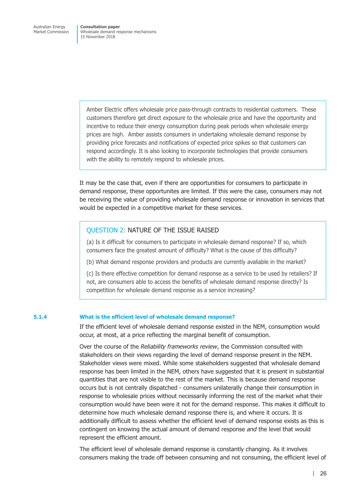Amber Electric offers wholesale price pass-through contracts to residential customers. These customers therefore get direct exposure to the wholesale price and have the opportunity and incentive to reduce their energy consumption during peak periods when wholesale energy prices are high. Amber assists consumers in undertaking wholesale demand response by providing price forecasts and notifications of expected price spikes so that customers can respond accordingly. It is also looking to incorporate technologies that provide consumers with the ability to remotely respond to wholesale prices.

It may be the case that, even if there are opportunities for consumers to participate in demand response, these opportunites are limited. If this were the case, consumers may not be receiving the value of providing wholesale demand response or innovation in services that would be expected in a competitive market for these services.

## QUESTION 2: NATURE OF THE ISSUE RAISED

(a) Is it difficult for consumers to participate in wholesale demand response? If so, which consumers face the greatest amount of difficulty? What is the cause of this difficulty?

(b) What demand response providers and products are currently avaliable in the market?

(c) Is there effective competition for demand response as a service to be used by retailers? If not, are consumers able to access the benefits of wholesale demand response directly? Is competition for wholesale demand response as a service increasing?

#### <span id="page-32-0"></span>**5.1.4 What is the efficient level of wholesale demand response?**

If the efficient level of wholesale demand response existed in the NEM, consumption would occur, at most, at a price reflecting the marginal benefit of consumption.

Over the course of the *Reliability frameworks review*, the Commission consulted with stakeholders on their views regarding the level of demand response present in the NEM. Stakeholder views were mixed. While some stakeholders suggested that wholesale demand response has been limited in the NEM, others have suggested that it is present in substantial quantities that are not visible to the rest of the market. This is because demand response occurs but is not centrally dispatched - consumers unilaterally change their consumption in response to wholesale prices without necessarily informing the rest of the market what their consumption would have been were it not for the demand response. This makes it difficult to determine how much wholesale demand response there is, and where it occurs. It is additionally difficult to assess whether the efficient level of demand response exists as this is contingent on knowing the actual amount of demand response *and* the level that would represent the efficient amount.

The efficient level of wholesale demand response is constantly changing. As it involves consumers making the trade off between consuming and not consuming, the efficient level of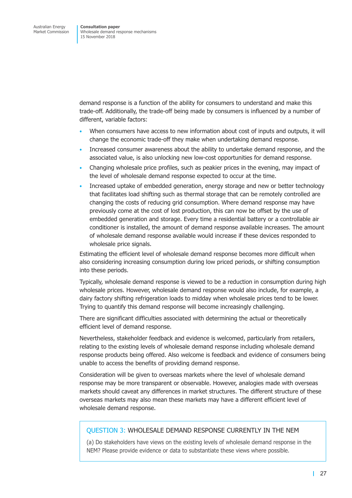demand response is a function of the ability for consumers to understand and make this trade-off. Additionally, the trade-off being made by consumers is influenced by a number of different, variable factors:

- When consumers have access to new information about cost of inputs and outputs, it will change the economic trade-off they make when undertaking demand response.
- Increased consumer awareness about the ability to undertake demand response, and the associated value, is also unlocking new low-cost opportunities for demand response.
- Changing wholesale price profiles, such as peakier prices in the evening, may impact of the level of wholesale demand response expected to occur at the time.
- Increased uptake of embedded generation, energy storage and new or better technology that facilitates load shifting such as thermal storage that can be remotely controlled are changing the costs of reducing grid consumption. Where demand response may have previously come at the cost of lost production, this can now be offset by the use of embedded generation and storage. Every time a residential battery or a controllable air conditioner is installed, the amount of demand response available increases. The amount of wholesale demand response available would increase if these devices responded to wholesale price signals.

Estimating the efficient level of wholesale demand response becomes more difficult when also considering increasing consumption during low priced periods, or shifting consumption into these periods.

Typically, wholesale demand response is viewed to be a reduction in consumption during high wholesale prices. However, wholesale demand response would also include, for example, a dairy factory shifting refrigeration loads to midday when wholesale prices tend to be lower. Trying to quantify this demand response will become increasingly challenging.

There are significant difficulties associated with determining the actual or theoretically efficient level of demand response.

Nevertheless, stakeholder feedback and evidence is welcomed, particularly from retailers, relating to the existing levels of wholesale demand response including wholesale demand response products being offered. Also welcome is feedback and evidence of consumers being unable to access the benefits of providing demand response.

Consideration will be given to overseas markets where the level of wholesale demand response may be more transparent or observable. However, analogies made with overseas markets should caveat any differences in market structures. The different structure of these overseas markets may also mean these markets may have a different efficient level of wholesale demand response.

## QUESTION 3: WHOLESALE DEMAND RESPONSE CURRENTLY IN THE NEM

(a) Do stakeholders have views on the existing levels of wholesale demand response in the NEM? Please provide evidence or data to substantiate these views where possible.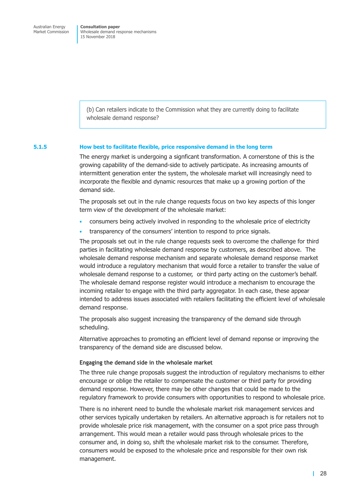(b) Can retailers indicate to the Commission what they are currently doing to facilitate wholesale demand response?

#### **5.1.5 How best to facilitate flexible, price responsive demand in the long term**

The energy market is undergoing a signficant transformation. A cornerstone of this is the growing capability of the demand-side to actively participate. As increasing amounts of intermittent generation enter the system, the wholesale market will increasingly need to incorporate the flexible and dynamic resources that make up a growing portion of the demand side.

The proposals set out in the rule change requests focus on two key aspects of this longer term view of the development of the wholesale market:

- consumers being actively involved in responding to the wholesale price of electricity
- transparency of the consumers' intention to respond to price signals.

The proposals set out in the rule change requests seek to overcome the challenge for third parties in facilitating wholesale demand response by customers, as described above. The wholesale demand response mechanism and separate wholesale demand response market would introduce a regulatory mechanism that would force a retailer to transfer the value of wholesale demand response to a customer, or third party acting on the customer's behalf. The wholesale demand response register would introduce a mechanism to encourage the incoming retailer to engage with the third party aggregator. In each case, these appear intended to address issues associated with retailers facilitating the efficient level of wholesale demand response.

The proposals also suggest increasing the transparency of the demand side through scheduling.

Alternative approaches to promoting an efficient level of demand reponse or improving the transparency of the demand side are discussed below.

#### **Engaging the demand side in the wholesale market**

The three rule change proposals suggest the introduction of regulatory mechanisms to either encourage or oblige the retailer to compensate the customer or third party for providing demand response. However, there may be other changes that could be made to the regulatory framework to provide consumers with opportunities to respond to wholesale price.

There is no inherent need to bundle the wholesale market risk management services and other services typically undertaken by retailers. An alternative approach is for retailers not to provide wholesale price risk management, with the consumer on a spot price pass through arrangement. This would mean a retailer would pass through wholesale prices to the consumer and, in doing so, shift the wholesale market risk to the consumer. Therefore, consumers would be exposed to the wholesale price and responsible for their own risk management.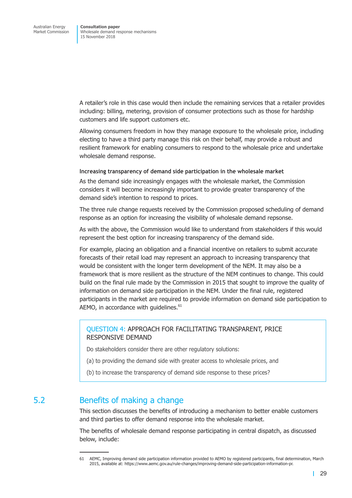<span id="page-35-0"></span>A retailer's role in this case would then include the remaining services that a retailer provides including: billing, metering, provision of consumer protections such as those for hardship customers and life support customers etc.

Allowing consumers freedom in how they manage exposure to the wholesale price, including electing to have a third party manage this risk on their behalf, may provide a robust and resilient framework for enabling consumers to respond to the wholesale price and undertake wholesale demand response.

**Increasing transparency of demand side participation in the wholesale market**

As the demand side increasingly engages with the wholesale market, the Commission considers it will become increasingly important to provide greater transparency of the demand side's intention to respond to prices.

The three rule change requests received by the Commission proposed scheduling of demand response as an option for increasing the visibility of wholesale demand repsonse.

As with the above, the Commission would like to understand from stakeholders if this would represent the best option for increasing transparency of the demand side.

For example, placing an obligation and a financial incentive on retailers to submit accurate forecasts of their retail load may represent an approach to increasing transparency that would be consistent with the longer term development of the NEM. It may also be a framework that is more resilient as the structure of the NEM continues to change. This could build on the final rule made by the Commission in 2015 that sought to improve the quality of information on demand side participation in the NEM. Under the final rule, registered participants in the market are required to provide information on demand side participation to AEMO, in accordance with guidelines.<sup>61</sup>

## QUESTION 4: APPROACH FOR FACILITATING TRANSPARENT, PRICE RESPONSIVE DEMAND

Do stakeholders consider there are other regulatory solutions:

- (a) to providing the demand side with greater access to wholesale prices, and
- (b) to increase the transparency of demand side response to these prices?

# <span id="page-35-1"></span>5.2 Benefits of making a change

This section discusses the benefits of introducing a mechanism to better enable customers and third parties to offer demand response into the wholesale market.

The benefits of wholesale demand response participating in central dispatch, as discussed below, include:

<sup>61</sup> AEMC, Improving demand side participation information provided to AEMO by registered participants, final determination, March 2015, available at: https://www.aemc.gov.au/rule-changes/improving-demand-side-participation-information-pr.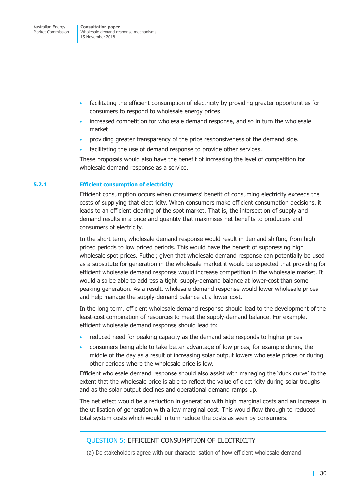- facilitating the efficient consumption of electricity by providing greater opportunities for consumers to respond to wholesale energy prices
- increased competition for wholesale demand response, and so in turn the wholesale market
- providing greater transparency of the price responsiveness of the demand side.
- facilitating the use of demand response to provide other services.

These proposals would also have the benefit of increasing the level of competition for wholesale demand response as a service.

### **5.2.1 Efficient consumption of electricity**

Efficient consumption occurs when consumers' benefit of consuming electricity exceeds the costs of supplying that electricity. When consumers make efficient consumption decisions, it leads to an efficient clearing of the spot market. That is, the intersection of supply and demand results in a price and quantity that maximises net benefits to producers and consumers of electricity.

In the short term, wholesale demand response would result in demand shifting from high priced periods to low priced periods. This would have the benefit of suppressing high wholesale spot prices. Futher, given that wholesale demand response can potentially be used as a substitute for generation in the wholesale market it would be expected that providing for efficient wholesale demand response would increase competition in the wholesale market. It would also be able to address a tight supply-demand balance at lower-cost than some peaking generation. As a result, wholesale demand response would lower wholesale prices and help manage the supply-demand balance at a lower cost.

In the long term, efficient wholesale demand response should lead to the development of the least-cost combination of resources to meet the supply-demand balance. For example, efficient wholesale demand response should lead to:

- reduced need for peaking capacity as the demand side responds to higher prices
- consumers being able to take better advantage of low prices, for example during the middle of the day as a result of increasing solar output lowers wholesale prices or during other periods where the wholesale price is low.

Efficient wholesale demand response should also assist with managing the 'duck curve' to the extent that the wholesale price is able to reflect the value of electricity during solar troughs and as the solar output declines and operational demand ramps up.

The net effect would be a reduction in generation with high marginal costs and an increase in the utilisation of generation with a low marginal cost. This would flow through to reduced total system costs which would in turn reduce the costs as seen by consumers.

## QUESTION 5: EFFICIENT CONSUMPTION OF ELECTRICITY

(a) Do stakeholders agree with our characterisation of how efficient wholesale demand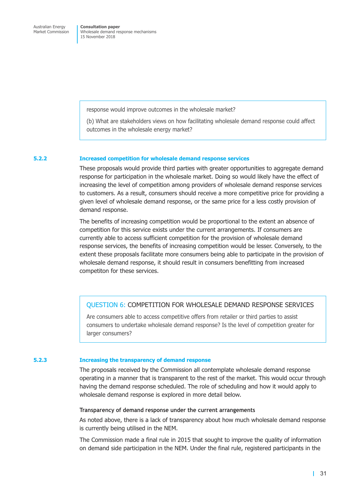response would improve outcomes in the wholesale market?

(b) What are stakeholders views on how facilitating wholesale demand response could affect outcomes in the wholesale energy market?

### **5.2.2 Increased competition for wholesale demand response services**

These proposals would provide third parties with greater opportunities to aggregate demand response for participation in the wholesale market. Doing so would likely have the effect of increasing the level of competition among providers of wholesale demand response services to customers. As a result, consumers should receive a more competitive price for providing a given level of wholesale demand response, or the same price for a less costly provision of demand response.

The benefits of increasing competition would be proportional to the extent an absence of competition for this service exists under the current arrangements. If consumers are currently able to access sufficient competition for the provision of wholesale demand response services, the benefits of increasing competition would be lesser. Conversely, to the extent these proposals facilitate more consumers being able to participate in the provision of wholesale demand response, it should result in consumers benefitting from increased competiton for these services.

### QUESTION 6: COMPETITION FOR WHOLESALE DEMAND RESPONSE SERVICES

Are consumers able to access competitive offers from retailer or third parties to assist consumers to undertake wholesale demand response? Is the level of competition greater for larger consumers?

#### **5.2.3 Increasing the transparency of demand response**

The proposals received by the Commission all contemplate wholesale demand response operating in a manner that is transparent to the rest of the market. This would occur through having the demand response scheduled. The role of scheduling and how it would apply to wholesale demand response is explored in more detail below.

### **Transparency of demand response under the current arrangements**

As noted above, there is a lack of transparency about how much wholesale demand response is currently being utilised in the NEM.

The Commission made a final rule in 2015 that sought to improve the quality of information on demand side participation in the NEM. Under the final rule, registered participants in the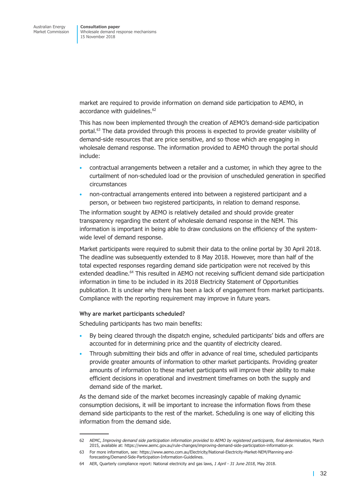market are required to provide information on demand side participation to AEMO, in accordance with guidelines. 62

This has now been implemented through the creation of AEMO's demand-side participation portal. <sup>63</sup> The data provided through this process is expected to provide greater visibility of demand-side resources that are price sensitive, and so those which are engaging in wholesale demand response. The information provided to AEMO through the portal should include:

- contractual arrangements between a retailer and a customer, in which they agree to the curtailment of non-scheduled load or the provision of unscheduled generation in specified circumstances
- non-contractual arrangements entered into between a registered participant and a person, or between two registered participants, in relation to demand response.

The information sought by AEMO is relatively detailed and should provide greater transparency regarding the extent of wholesale demand response in the NEM. This information is important in being able to draw conclusions on the efficiency of the systemwide level of demand response.

Market participants were required to submit their data to the online portal by 30 April 2018. The deadline was subsequently extended to 8 May 2018. However, more than half of the total expected responses regarding demand side participation were not received by this extended deadline. <sup>64</sup> This resulted in AEMO not receiving sufficient demand side participation information in time to be included in its 2018 Electricity Statement of Opportunities publication. It is unclear why there has been a lack of engagement from market participants. Compliance with the reporting requirement may improve in future years.

### **Why are market participants scheduled?**

Scheduling participants has two main benefits:

- By being cleared through the dispatch engine, scheduled participants' bids and offers are accounted for in determining price and the quantity of electricity cleared.
- Through submitting their bids and offer in advance of real time, scheduled participants provide greater amounts of information to other market participants. Providing greater amounts of information to these market participants will improve their ability to make efficient decisions in operational and investment timeframes on both the supply and demand side of the market.

As the demand side of the market becomes increasingly capable of making dynamic consumption decisions, it will be important to increase the information flows from these demand side participants to the rest of the market. Scheduling is one way of eliciting this information from the demand side.

<sup>62</sup> AEMC, *Improving demand side participation information provided to AEMO by registered participants, final determination,* March 2015, available at: https://www.aemc.gov.au/rule-changes/improving-demand-side-participation-information-pr.

<sup>63</sup> For more information, see: https://www.aemo.com.au/Electricity/National-Electricity-Market-NEM/Planning-andforecasting/Demand-Side-Participation-Information-Guidelines.

<sup>64</sup> AER, Quarterly compliance report: National electricity and gas laws, *1 April - 31 June 2018*, May 2018.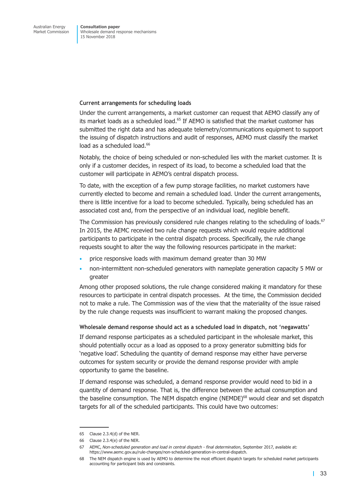### **Current arrangements for scheduling loads**

Under the current arrangements, a market customer can request that AEMO classify any of its market loads as a scheduled load.<sup>65</sup> If AEMO is satisfied that the market customer has submitted the right data and has adequate telemetry/communications equipment to support the issuing of dispatch instructions and audit of responses, AEMO must classify the market load as a scheduled load.<sup>66</sup>

Notably, the choice of being scheduled or non-scheduled lies with the market customer. It is only if a customer decides, in respect of its load, to become a scheduled load that the customer will participate in AEMO's central dispatch process.

To date, with the exception of a few pump storage facilities, no market customers have currently elected to become and remain a scheduled load. Under the current arrangements, there is little incentive for a load to become scheduled. Typically, being scheduled has an associated cost and, from the perspective of an individual load, neglible benefit.

The Commission has previously considered rule changes relating to the scheduling of loads.<sup>67</sup> In 2015, the AEMC recevied two rule change requests which would require additional participants to participate in the central dispatch process. Specifically, the rule change requests sought to alter the way the following resources participate in the market:

- price responsive loads with maximum demand greater than 30 MW
- non-intermittent non-scheduled generators with nameplate generation capacity 5 MW or greater

Among other proposed solutions, the rule change considered making it mandatory for these resources to participate in central dispatch processes. At the time, the Commission decided not to make a rule. The Commission was of the view that the materiality of the issue raised by the rule change requests was insufficient to warrant making the proposed changes.

### **Wholesale demand response should act as a scheduled load in dispatch, not 'negawatts'**

If demand response participates as a scheduled participant in the wholesale market, this should potentially occur as a load as opposed to a proxy generator submitting bids for 'negative load'. Scheduling the quantity of demand response may either have perverse outcomes for system security or provide the demand response provider with ample opportunity to game the baseline.

If demand response was scheduled, a demand response provider would need to bid in a quantity of demand response. That is, the difference between the actual consumption and the baseline consumption. The NEM dispatch engine (NEMDE) <sup>68</sup> would clear and set dispatch targets for all of the scheduled participants. This could have two outcomes:

<sup>65</sup> Clause 2.3.4(d) of the NER.

<sup>66</sup> Clause 2.3.4(e) of the NER.

<sup>67</sup> AEMC, *Non-scheduled generation and load in central dispatch - final determination*, September 2017, available at: https://www.aemc.gov.au/rule-changes/non-scheduled-generation-in-central-dispatch.

<sup>68</sup> The NEM dispatch engine is used by AEMO to determine the most efficient dispatch targets for scheduled market participants accounting for participant bids and constraints.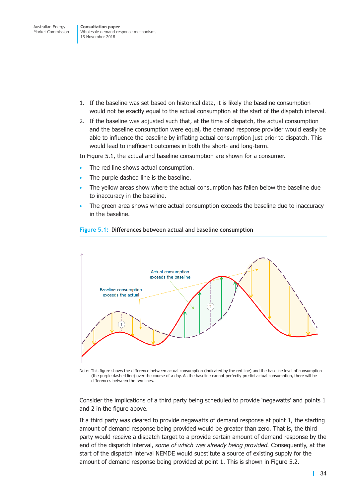- 1. If the baseline was set based on historical data, it is likely the baseline consumption would not be exactly equal to the actual consumption at the start of the dispatch interval.
- 2. If the baseline was adjusted such that, at the time of dispatch, the actual consumption and the baseline consumption were equal, the demand response provider would easily be able to influence the baseline by inflating actual consumption just prior to dispatch. This would lead to inefficient outcomes in both the short- and long-term.

In [Figure](#page-40-0) 5.1, the actual and baseline consumption are shown for a consumer.

- The red line shows actual consumption.
- The purple dashed line is the baseline.
- The yellow areas show where the actual consumption has fallen below the baseline due to inaccuracy in the baseline.
- <span id="page-40-0"></span>The green area shows where actual consumption exceeds the baseline due to inaccuracy in the baseline.



### **Figure 5.1: Differences between actual and baseline consumption**

Note: This figure shows the difference between actual consumption (indicated by the red line) and the baseline level of consumption (the purple dashed line) over the course of a day. As the baseline cannot perfectly predict actual consumption, there will be differences between the two lines.

Consider the implications of a third party being scheduled to provide 'negawatts' and points 1 and 2 in the figure above.

If a third party was cleared to provide negawatts of demand response at point 1, the starting amount of demand response being provided would be greater than zero. That is, the third party would receive a dispatch target to a provide certain amount of demand response by the end of the dispatch interval, *some of which was already being provided.* Consequently, at the start of the dispatch interval NEMDE would substitute a source of existing supply for the amount of demand response being provided at point 1. This is shown in [Figure](#page-41-0) 5.2.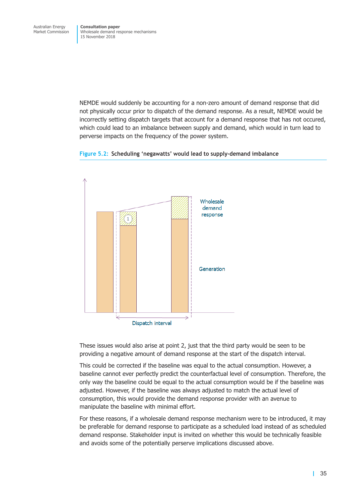NEMDE would suddenly be accounting for a non-zero amount of demand response that did not physically occur prior to dispatch of the demand response. As a result, NEMDE would be incorrectly setting dispatch targets that account for a demand response that has not occured, which could lead to an imbalance between supply and demand, which would in turn lead to perverse impacts on the frequency of the power system.

<span id="page-41-0"></span>



These issues would also arise at point 2, just that the third party would be seen to be providing a negative amount of demand response at the start of the dispatch interval.

This could be corrected if the baseline was equal to the actual consumption. However, a baseline cannot ever perfectly predict the counterfactual level of consumption. Therefore, the only way the baseline could be equal to the actual consumption would be if the baseline was adjusted. However, if the baseline was always adjusted to match the actual level of consumption, this would provide the demand response provider with an avenue to manipulate the baseline with minimal effort.

For these reasons, if a wholesale demand response mechanism were to be introduced, it may be preferable for demand response to participate as a scheduled load instead of as scheduled demand response. Stakeholder input is invited on whether this would be technically feasible and avoids some of the potentially perserve implications discussed above.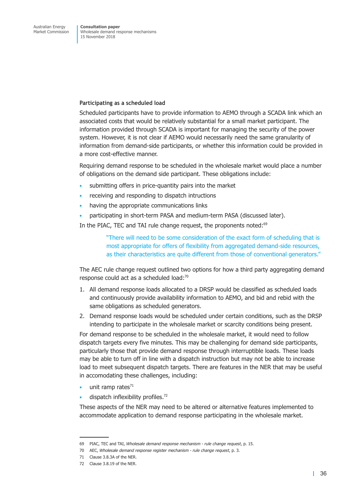### **Participating as a scheduled load**

Scheduled participants have to provide information to AEMO through a SCADA link which an associated costs that would be relatively substantial for a small market participant. The information provided through SCADA is important for managing the security of the power system. However, it is not clear if AEMO would necessarily need the same granularity of information from demand-side participants, or whether this information could be provided in a more cost-effective manner.

Requiring demand response to be scheduled in the wholesale market would place a number of obligations on the demand side participant. These obligations include:

- submitting offers in price-quantity pairs into the market
- receiving and responding to dispatch intructions
- having the appropriate communications links
- participating in short-term PASA and medium-term PASA (discussed later).

In the PIAC, TEC and TAI rule change request, the proponents noted:<sup>69</sup>

"There will need to be some consideration of the exact form of scheduling that is most appropriate for offers of flexibility from aggregated demand-side resources, as their characteristics are quite different from those of conventional generators."

The AEC rule change request outlined two options for how a third party aggregating demand response could act as a scheduled load:<sup>70</sup>

- 1. All demand response loads allocated to a DRSP would be classified as scheduled loads and continuously provide availability information to AEMO, and bid and rebid with the same obligations as scheduled generators.
- 2. Demand response loads would be scheduled under certain conditions, such as the DRSP intending to participate in the wholesale market or scarcity conditions being present.

For demand response to be scheduled in the wholesale market, it would need to follow dispatch targets every five minutes. This may be challenging for demand side participants, particularly those that provide demand response through interruptible loads. These loads may be able to turn off in line with a dispatch instruction but may not be able to increase load to meet subsequent dispatch targets. There are features in the NER that may be useful in accomodating these challenges, including:

- unit ramp rates $71$
- $\cdot$  dispatch inflexibility profiles.<sup>72</sup>

These aspects of the NER may need to be altered or alternative features implemented to accommodate application to demand response participating in the wholesale market.

<sup>69</sup> PIAC, TEC and TAI, *Wholesale demand response mechanism - rule change request*, p. 15.

<sup>70</sup> AEC, *Wholesale demand response register mechanism - rule change request*, p. 3.

<sup>71</sup> Clause 3.8.3A of the NER.

<sup>72</sup> Clause 3.8.19 of the NER.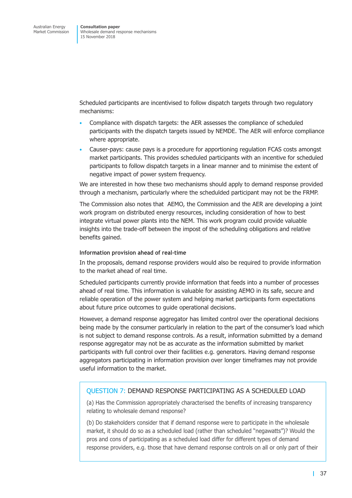Scheduled participants are incentivised to follow dispatch targets through two regulatory mechanisms:

- Compliance with dispatch targets: the AER assesses the compliance of scheduled participants with the dispatch targets issued by NEMDE. The AER will enforce compliance where appropriate.
- Causer-pays: cause pays is a procedure for apportioning regulation FCAS costs amongst market participants. This provides scheduled participants with an incentive for scheduled participants to follow dispatch targets in a linear manner and to minimise the extent of negative impact of power system frequency.

We are interested in how these two mechanisms should apply to demand response provided through a mechanism, particularly where the schedulded participant may not be the FRMP.

The Commission also notes that AEMO, the Commission and the AER are developing a joint work program on distributed energy resources, including consideration of how to best integrate virtual power plants into the NEM. This work program could provide valuable insights into the trade-off between the impost of the scheduling obligations and relative benefits gained.

### **Information provision ahead of real-time**

In the proposals, demand response providers would also be required to provide information to the market ahead of real time.

Scheduled participants currently provide information that feeds into a number of processes ahead of real time. This information is valuable for assisting AEMO in its safe, secure and reliable operation of the power system and helping market participants form expectations about future price outcomes to guide operational decisions.

However, a demand response aggregator has limited control over the operational decisions being made by the consumer particularly in relation to the part of the consumer's load which is not subject to demand response controls. As a result, information submitted by a demand response aggregator may not be as accurate as the information submitted by market participants with full control over their facilities e.g. generators. Having demand response aggregators participating in information provision over longer timeframes may not provide useful information to the market.

## QUESTION 7: DEMAND RESPONSE PARTICIPATING AS A SCHEDULED LOAD

(a) Has the Commission appropriately characterised the benefits of increasing transparency relating to wholesale demand response?

(b) Do stakeholders consider that if demand response were to participate in the wholesale market, it should do so as a scheduled load (rather than scheduled "negawatts")? Would the pros and cons of participating as a scheduled load differ for different types of demand response providers, e.g. those that have demand response controls on all or only part of their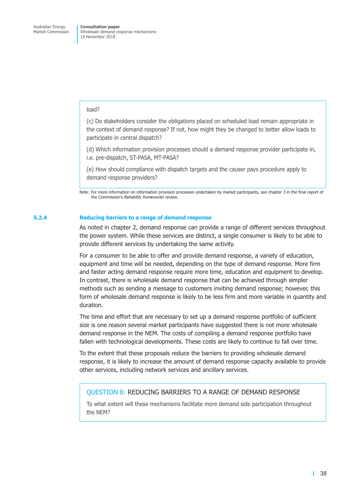### load?

(c) Do stakeholders consider the obligations placed on scheduled load remain appropriate in the context of demand response? If not, how might they be changed to better allow loads to participate in central dispatch?

(d) Which information provision processes should a demand response provider participate in, i.e. pre-dispatch, ST-PASA, MT-PASA?

(e) How should compliance with dispatch targets and the causer pays procedure apply to demand response providers?

Note: For more information on information provision processes undertaken by market participants, see chapter 3 in the final report of the Commission's *Reliability frameworks review*.

### **5.2.4 Reducing barriers to a range of demand response**

As noted in chapter 2, demand response can provide a range of different services throughout the power system. While these services are distinct, a single consumer is likely to be able to provide different services by undertaking the same activity.

For a consumer to be able to offer and provide demand response, a variety of education, equipment and time will be needed, depending on the type of demand response. More firm and faster acting demand response require more time, education and equipment to develop. In contrast, there is wholesale demand response that can be achieved through simpler methods such as sending a message to customers inviting demand response; however, this form of wholesale demand response is likely to be less firm and more variable in quantity and duration.

The time and effort that are necessary to set up a demand response portfolio of sufficient size is one reason several market participants have suggested there is not more wholesale demand response in the NEM. The costs of compiling a demand response portfolio have fallen with technological developments. These costs are likely to continue to fall over time.

To the extent that these proposals reduce the barriers to providing wholesale demand response, it is likely to increase the amount of demand response capacity available to provide other services, including network services and ancillary services.

## QUESTION 8: REDUCING BARRIERS TO A RANGE OF DEMAND RESPONSE

To what extent will these mechanisms facilitate more demand side participation throughout the NEM?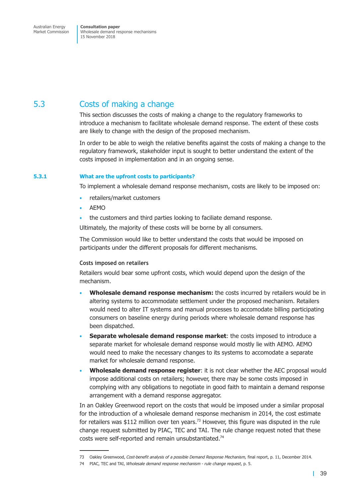# 5.3 Costs of making a change

This section discusses the costs of making a change to the regulatory frameworks to introduce a mechanism to facilitate wholesale demand response. The extent of these costs are likely to change with the design of the proposed mechanism.

In order to be able to weigh the relative benefits against the costs of making a change to the regulatory framework, stakeholder input is sought to better understand the extent of the costs imposed in implementation and in an ongoing sense.

### <span id="page-45-0"></span>**5.3.1 What are the upfront costs to participants?**

To implement a wholesale demand response mechanism, costs are likely to be imposed on:

- retailers/market customers
- AEMO
- the customers and third parties looking to faciliate demand response.

Ultimately, the majority of these costs will be borne by all consumers.

The Commission would like to better understand the costs that would be imposed on participants under the different proposals for different mechanisms.

### **Costs imposed on retailers**

Retailers would bear some upfront costs, which would depend upon the design of the mechanism.

- **Wholesale demand response mechanism:** the costs incurred by retailers would be in altering systems to accommodate settlement under the proposed mechanism. Retailers would need to alter IT systems and manual processes to accomodate billing participating consumers on baseline energy during periods where wholesale demand response has been dispatched.
- **Separate wholesale demand response market**: the costs imposed to introduce a separate market for wholesale demand response would mostly lie with AEMO. AEMO would need to make the necessary changes to its systems to accomodate a separate market for wholesale demand response.
- **Wholesale demand response register**: it is not clear whether the AEC proposal would impose additional costs on retailers; however, there may be some costs imposed in complying with any obligations to negotiate in good faith to maintain a demand response arrangement with a demand response aggregator.

In an Oakley Greenwood report on the costs that would be imposed under a similar proposal for the introduction of a wholesale demand response mechanism in 2014, the cost estimate for retailers was \$112 million over ten years.<sup>73</sup> However, this figure was disputed in the rule change request submitted by PIAC, TEC and TAI. The rule change request noted that these costs were self-reported and remain unsubstantiated.<sup>74</sup>

<sup>73</sup> Oakley Greenwood, *Cost-benefit analysis of a possible Demand Response Mechanism,* final report, p. 11, December 2014.

<sup>74</sup> PIAC, TEC and TAI, *Wholesale demand response mechanism - rule change request*, p. 5.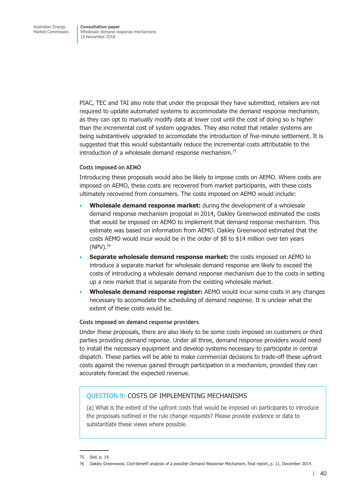PIAC, TEC and TAI also note that under the proposal they have submitted, retailers are not required to update automated systems to accommodate the demand response mechanism, as they can opt to manually modify data at lower cost until the cost of doing so is higher than the incremental cost of system upgrades. They also noted that retailer systems are being substantively upgraded to accomodate the introduction of five-minute settlement. It is suggested that this would substantially reduce the incremental costs attributable to the introduction of a wholesale demand response mechanism. 75

### **Costs imposed on AEMO**

Introducing these proposals would also be likely to impose costs on AEMO. Where costs are imposed on AEMO, these costs are recovered from market participants, with these costs ultimately recovered from consumers. The costs imposed on AEMO would include:

- **Wholesale demand response market:** during the development of a wholesale demand response mechanism proposal in 2014, Oakley Greenwood estimated the costs that would be imposed on AEMO to implement that demand response mechanism. This estimate was based on information from AEMO. Oakley Greenwood estimated that the costs AEMO would incur would be in the order of \$8 to \$14 million over ten years  $(NPV).^{76}$
- **Separate wholesale demand response market:** the costs imposed on AEMO to introduce a separate market for wholesale demand response are likely to exceed the costs of introducing a wholesale demand response mechanism due to the costs in setting up a new market that is separate from the existing wholesale market.
- **Wholesale demand response register:** AEMO would incur some costs in any changes necessary to accomodate the scheduling of demand response. It is unclear what the extent of these costs would be.

### **Costs imposed on demand response providers**

Under these proposals, there are also likely to be some costs imposed on customers or third parties providing demand reponse. Under all three, demand response providers would need to install the necessary equipment and develop systems necessary to participate in central dispatch. These parties will be able to make commercial decisions to trade-off these upfront costs against the revenue gained through participation in a mechanism, provided they can accurately forecast the expected revenue.

## QUESTION 9: COSTS OF IMPLEMENTING MECHANISMS

(a) What is the extent of the upfront costs that would be imposed on participants to introduce the proposals outlined in the rule change requests? Please provide evidence or data to substantiate these views where possible.

<sup>75</sup> Ibid, p. 14.

<sup>76</sup> Oakley Greenwood, *Cost-benefit analysis of a possible Demand Response Mechanism*, final report, p. 11, December 2014.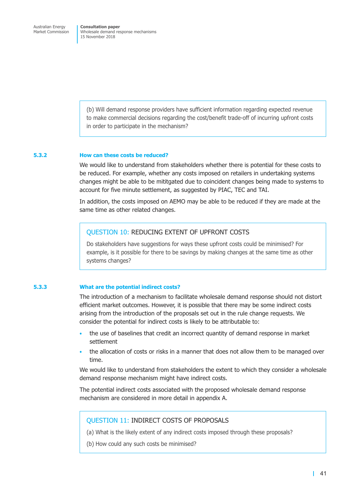(b) Will demand response providers have sufficient information regarding expected revenue to make commercial decisions regarding the cost/benefit trade-off of incurring upfront costs in order to participate in the mechanism?

### **5.3.2 How can these costs be reduced?**

We would like to understand from stakeholders whether there is potential for these costs to be reduced. For example, whether any costs imposed on retailers in undertaking systems changes might be able to be mititgated due to coincident changes being made to systems to account for five minute settlement, as suggested by PIAC, TEC and TAI.

In addition, the costs imposed on AEMO may be able to be reduced if they are made at the same time as other related changes.

### QUESTION 10: REDUCING EXTENT OF UPFRONT COSTS

Do stakeholders have suggestions for ways these upfront costs could be minimised? For example, is it possible for there to be savings by making changes at the same time as other systems changes?

### **5.3.3 What are the potential indirect costs?**

The introduction of a mechanism to facilitate wholesale demand response should not distort efficient market outcomes. However, it is possible that there may be some indirect costs arising from the introduction of the proposals set out in the rule change requests. We consider the potential for indirect costs is likely to be attributable to:

- the use of baselines that credit an incorrect quantity of demand response in market settlement
- the allocation of costs or risks in a manner that does not allow them to be managed over time.

We would like to understand from stakeholders the extent to which they consider a wholesale demand response mechanism might have indirect costs.

The potential indirect costs associated with the proposed wholesale demand response mechanism are considered in more detail in appendix A.

### QUESTION 11: INDIRECT COSTS OF PROPOSALS

- (a) What is the likely extent of any indirect costs imposed through these proposals?
- (b) How could any such costs be minimised?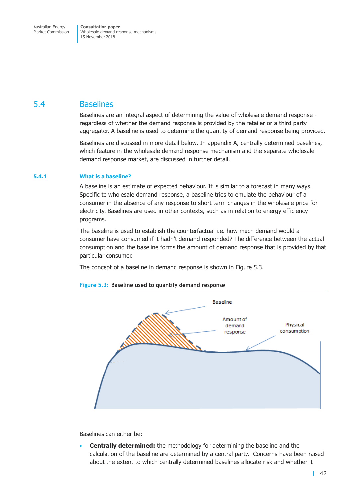## 5.4 Baselines

Baselines are an integral aspect of determining the value of wholesale demand response regardless of whether the demand response is provided by the retailer or a third party aggregator. A baseline is used to determine the quantity of demand response being provided.

Baselines are discussed in more detail below. In appendix A, centrally determined baselines, which feature in the wholesale demand response mechanism and the separate wholesale demand response market, are discussed in further detail.

### **5.4.1 What is a baseline?**

A baseline is an estimate of expected behaviour. It is similar to a forecast in many ways. Specific to wholesale demand response, a baseline tries to emulate the behaviour of a consumer in the absence of any response to short term changes in the wholesale price for electricity. Baselines are used in other contexts, such as in relation to energy efficiency programs.

The baseline is used to establish the counterfactual i.e. how much demand would a consumer have consumed if it hadn't demand responded? The difference between the actual consumption and the baseline forms the amount of demand response that is provided by that particular consumer.

<span id="page-48-0"></span>The concept of a baseline in demand response is shown in [Figure](#page-48-0) 5.3.



**Figure 5.3: Baseline used to quantify demand response**

Baselines can either be:

• **Centrally determined:** the methodology for determining the baseline and the calculation of the baseline are determined by a central party. Concerns have been raised about the extent to which centrally determined baselines allocate risk and whether it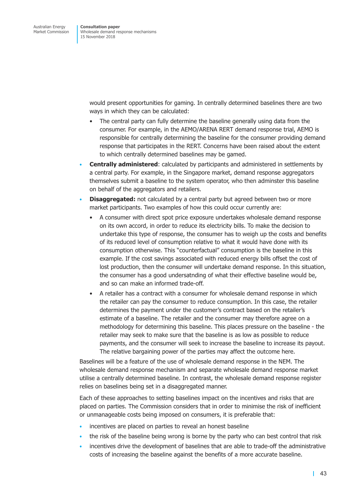> would present opportunities for gaming. In centrally determined baselines there are two ways in which they can be calculated:

- The central party can fully determine the baseline generally using data from the consumer. For example, in the AEMO/ARENA RERT demand response trial, AEMO is responsible for centrally determining the baseline for the consumer providing demand response that participates in the RERT. Concerns have been raised about the extent to which centrally determined baselines may be gamed.
- **Centrally administered**: calculated by participants and administered in settlements by a central party. For example, in the Singapore market, demand response aggregators themselves submit a baseline to the system operator, who then adminster this baseline on behalf of the aggregators and retailers.
- **Disaggregated:** not calculated by a central party but agreed between two or more market participants. Two examples of how this could occur currently are:
	- A consumer with direct spot price exposure undertakes wholesale demand response on its own accord, in order to reduce its electricity bills. To make the decision to undertake this type of response, the consumer has to weigh up the costs and benefits of its reduced level of consumption relative to what it would have done with its consumption otherwise. This "counterfactual" consumption is the baseline in this example. If the cost savings associated with reduced energy bills offset the cost of lost production, then the consumer will undertake demand response. In this situation, the consumer has a good undersatnding of what their effective baseline would be, and so can make an informed trade-off.
	- A retailer has a contract with a consumer for wholesale demand response in which the retailer can pay the consumer to reduce consumption. In this case, the retailer determines the payment under the customer's contract based on the retailer's estimate of a baseline. The retailer and the consumer may therefore agree on a methodology for determining this baseline. This places pressure on the baseline - the retailer may seek to make sure that the baseline is as low as possible to reduce payments, and the consumer will seek to increase the baseline to increase its payout. The relative bargaining power of the parties may affect the outcome here.

Baselines will be a feature of the use of wholesale demand response in the NEM. The wholesale demand response mechanism and separate wholesale demand response market utilise a centrally determined baseline. In contrast, the wholesale demand response register relies on baselines being set in a disaggregated manner.

Each of these approaches to setting baselines impact on the incentives and risks that are placed on parties. The Commission considers that in order to minimise the risk of inefficient or unmanageable costs being imposed on consumers, it is preferable that:

- incentives are placed on parties to reveal an honest baseline
- the risk of the baseline being wrong is borne by the party who can best control that risk
- incentives drive the development of baselines that are able to trade-off the administrative costs of increasing the baseline against the benefits of a more accurate baseline.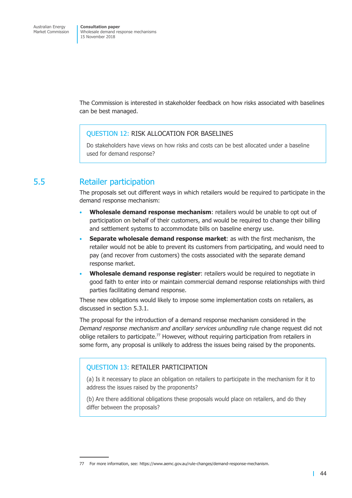The Commission is interested in stakeholder feedback on how risks associated with baselines can be best managed.

## QUESTION 12: RISK ALLOCATION FOR BASELINES

Do stakeholders have views on how risks and costs can be best allocated under a baseline used for demand response?

# 5.5 Retailer participation

The proposals set out different ways in which retailers would be required to participate in the demand response mechanism:

- **Wholesale demand response mechanism**: retailers would be unable to opt out of participation on behalf of their customers, and would be required to change their billing and settlement systems to accommodate bills on baseline energy use.
- **Separate wholesale demand response market**: as with the first mechanism, the retailer would not be able to prevent its customers from participating, and would need to pay (and recover from customers) the costs associated with the separate demand response market.
- **Wholesale demand response register**: retailers would be required to negotiate in good faith to enter into or maintain commercial demand response relationships with third parties facilitating demand response.

These new obligations would likely to impose some implementation costs on retailers, as discussed in [section](#page-45-0) 5.3.1.

The proposal for the introduction of a demand response mechanism considered in the *Demand response mechanism and ancillary services unbundling* rule change request did not oblige retailers to participate.<sup>77</sup> However, without requiring participation from retailers in some form, any proposal is unlikely to address the issues being raised by the proponents.

## QUESTION 13: RETAILER PARTICIPATION

(a) Is it necessary to place an obligation on retailers to participate in the mechanism for it to address the issues raised by the proponents?

(b) Are there additional obligations these proposals would place on retailers, and do they differ between the proposals?

<sup>77</sup> For more information, see: https://www.aemc.gov.au/rule-changes/demand-response-mechanism.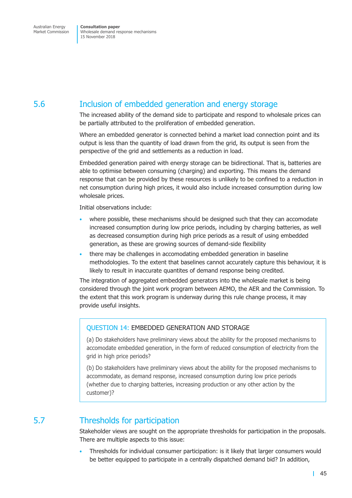# 5.6 Inclusion of embedded generation and energy storage

The increased ability of the demand side to participate and respond to wholesale prices can be partially attributed to the proliferation of embedded generation.

Where an embedded generator is connected behind a market load connection point and its output is less than the quantity of load drawn from the grid, its output is seen from the perspective of the grid and settlements as a reduction in load.

Embedded generation paired with energy storage can be bidirectional. That is, batteries are able to optimise between consuming (charging) and exporting. This means the demand response that can be provided by these resources is unlikely to be confined to a reduction in net consumption during high prices, it would also include increased consumption during low wholesale prices.

Initial observations include:

- where possible, these mechanisms should be designed such that they can accomodate increased consumption during low price periods, including by charging batteries, as well as decreased consumption during high price periods as a result of using embedded generation, as these are growing sources of demand-side flexibility
- there may be challenges in accomodating embedded generation in baseline methodologies. To the extent that baselines cannot accurately capture this behaviour, it is likely to result in inaccurate quantites of demand response being credited.

The integration of aggregated embedded generators into the wholesale market is being considered through the joint work program between AEMO, the AER and the Commission. To the extent that this work program is underway during this rule change process, it may provide useful insights.

## QUESTION 14: EMBEDDED GENERATION AND STORAGE

(a) Do stakeholders have preliminary views about the ability for the proposed mechanisms to accomodate embedded generation, in the form of reduced consumption of electricity from the grid in high price periods?

(b) Do stakeholders have preliminary views about the ability for the proposed mechanisms to accommodate, as demand response, increased consumption during low price periods (whether due to charging batteries, increasing production or any other action by the customer)?

# 5.7 Thresholds for participation

Stakeholder views are sought on the appropriate thresholds for participation in the proposals. There are multiple aspects to this issue:

• Thresholds for individual consumer participation: is it likely that larger consumers would be better equipped to participate in a centrally dispatched demand bid? In addition,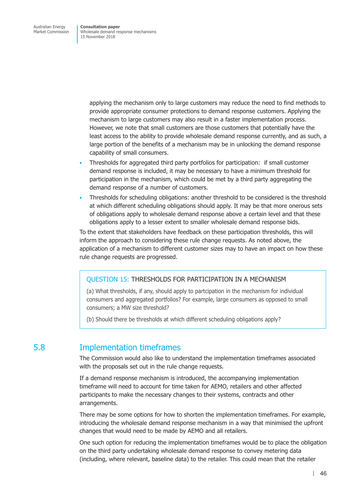> applying the mechanism only to large customers may reduce the need to find methods to provide appropriate consumer protections to demand response customers. Applying the mechanism to large customers may also result in a faster implementation process. However, we note that small customers are those customers that potentially have the least access to the ability to provide wholesale demand response currently, and as such, a large portion of the benefits of a mechanism may be in unlocking the demand response capability of small consumers.

- Thresholds for aggregated third party portfolios for participation: if small customer demand response is included, it may be necessary to have a minimum threshold for participation in the mechanism, which could be met by a third party aggregating the demand response of a number of customers.
- Thresholds for scheduling obligations: another threshold to be considered is the threshold at which different scheduling obligations should apply. It may be that more onerous sets of obligations apply to wholesale demand response above a certain level and that these obligations apply to a lesser extent to smaller wholesale demand response bids.

To the extent that stakeholders have feedback on these participation thresholds, this will inform the approach to considering these rule change requests. As noted above, the application of a mechanism to different customer sizes may to have an impact on how these rule change requests are progressed.

## QUESTION 15: THRESHOLDS FOR PARTICIPATION IN A MECHANISM

(a) What thresholds, if any, should apply to partcipation in the mechanism for individual consumers and aggregated portfolios? For example, large consumers as opposed to small consumers; a MW size threshold?

(b) Should there be thresholds at which different scheduling obligations apply?

## 5.8 Implementation timeframes

The Commission would also like to understand the implementation timeframes associated with the proposals set out in the rule change requests.

If a demand response mechanism is introduced, the accompanying implementation timeframe will need to account for time taken for AEMO, retailers and other affected participants to make the necessary changes to their systems, contracts and other arrangements.

There may be some options for how to shorten the implementation timeframes. For example, introducing the wholesale demand response mechanism in a way that minimised the upfront changes that would need to be made by AEMO and all retailers.

One such option for reducing the implementation timeframes would be to place the obligation on the third party undertaking wholesale demand response to convey metering data (including, where relevant, baseline data) to the retailer. This could mean that the retailer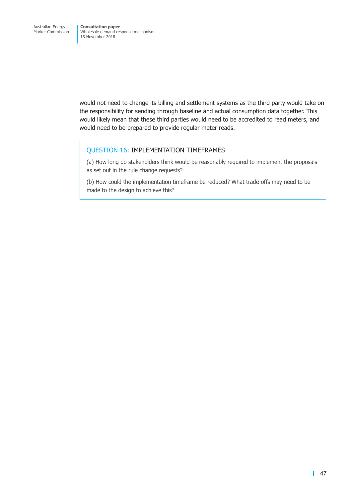would not need to change its billing and settlement systems as the third party would take on the responsibility for sending through baseline and actual consumption data together. This would likely mean that these third parties would need to be accredited to read meters, and would need to be prepared to provide regular meter reads.

## QUESTION 16: IMPLEMENTATION TIMEFRAMES

(a) How long do stakeholders think would be reasonably required to implement the proposals as set out in the rule change requests?

(b) How could the implementation timeframe be reduced? What trade-offs may need to be made to the design to achieve this?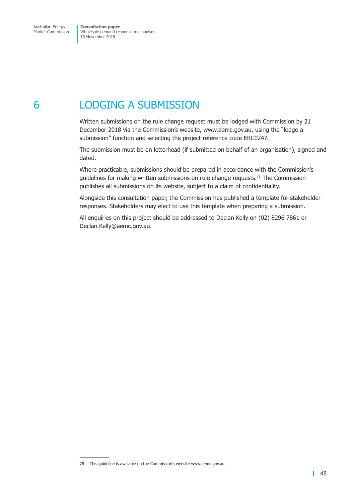# 6 LODGING A SUBMISSION

Written submissions on the rule change request must be lodged with Commission by 21 December 2018 via the Commission's website, www.aemc.gov.au, using the "lodge a submission" function and selecting the project reference code ERC0247.

The submission must be on letterhead (if submitted on behalf of an organisation), signed and dated.

Where practicable, submissions should be prepared in accordance with the Commission's guidelines for making written submissions on rule change requests. <sup>78</sup> The Commission publishes all submissions on its website, subject to a claim of confidentiality.

Alongside this consultation paper, the Commission has published a template for stakeholder responses. Stakeholders may elect to use this template when preparing a submission.

All enquiries on this project should be addressed to Declan Kelly on (02) 8296 7861 or Declan.Kelly@aemc.gov.au.

<sup>78</sup> This guideline is available on the Commission's website www.aemc.gov.au.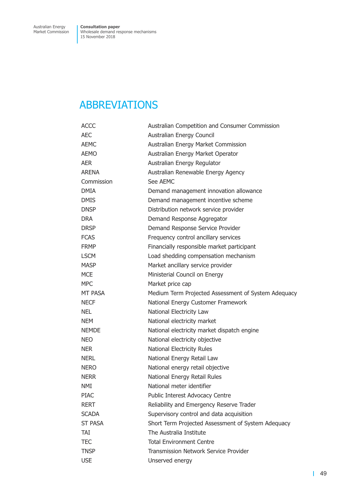# ABBREVIATIONS

| <b>ACCC</b>    | Australian Competition and Consumer Commission      |
|----------------|-----------------------------------------------------|
| AEC            | Australian Energy Council                           |
| AEMC           | Australian Energy Market Commission                 |
| AEMO           | Australian Energy Market Operator                   |
| AER            | Australian Energy Regulator                         |
| <b>ARENA</b>   | Australian Renewable Energy Agency                  |
| Commission     | See AEMC                                            |
| <b>DMIA</b>    | Demand management innovation allowance              |
| <b>DMIS</b>    | Demand management incentive scheme                  |
| DNSP           | Distribution network service provider               |
| <b>DRA</b>     | Demand Response Aggregator                          |
| <b>DRSP</b>    | Demand Response Service Provider                    |
| <b>FCAS</b>    | Frequency control ancillary services                |
| FRMP           | Financially responsible market participant          |
| <b>LSCM</b>    | Load shedding compensation mechanism                |
| <b>MASP</b>    | Market ancillary service provider                   |
| <b>MCE</b>     | Ministerial Council on Energy                       |
| <b>MPC</b>     | Market price cap                                    |
| MT PASA        | Medium Term Projected Assessment of System Adequacy |
| NECF           | National Energy Customer Framework                  |
| NEL.           | National Electricity Law                            |
| NEM            | National electricity market                         |
| <b>NEMDE</b>   | National electricity market dispatch engine         |
| NEO            | National electricity objective                      |
| NER            | National Electricity Rules                          |
| NERL           | National Energy Retail Law                          |
| nero           | National energy retail objective                    |
| NERR           | National Energy Retail Rules                        |
| NMI            | National meter identifier                           |
| PIAC           | Public Interest Advocacy Centre                     |
| <b>RERT</b>    | Reliability and Emergency Reserve Trader            |
| <b>SCADA</b>   | Supervisory control and data acquisition            |
| <b>ST PASA</b> | Short Term Projected Assessment of System Adequacy  |
| TAT            | The Australia Institute                             |
| TEC            | <b>Total Environment Centre</b>                     |
| <b>TNSP</b>    | Transmission Network Service Provider               |
| <b>USE</b>     | Unserved energy                                     |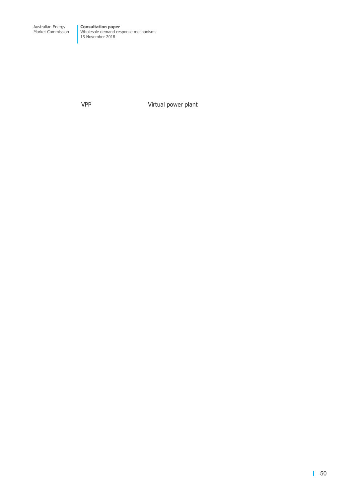VPP Virtual power plant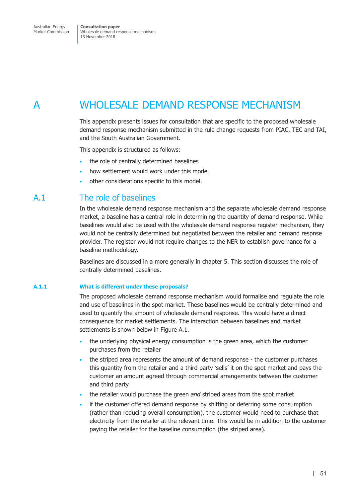# A WHOLESALE DEMAND RESPONSE MECHANISM

This appendix presents issues for consultation that are specific to the proposed wholesale demand response mechanism submitted in the rule change requests from PIAC, TEC and TAI, and the South Australian Government.

This appendix is structured as follows:

- the role of centrally determined baselines
- how settlement would work under this model
- other considerations specific to this model.

## A.1 The role of baselines

In the wholesale demand response mechanism and the separate wholesale demand response market, a baseline has a central role in determining the quantity of demand response. While baselines would also be used with the wholesale demand response register mechanism, they would not be centrally determined but negotiated between the retailer and demand respnse provider. The register would not require changes to the NER to establish governance for a baseline methodology.

Baselines are discussed in a more generally in chapter 5. This section discusses the role of centrally determined baselines.

#### **A.1.1 What is different under these proposals?**

The proposed wholesale demand response mechanism would formalise and regulate the role and use of baselines in the spot market. These baselines would be centrally determined and used to quantify the amount of wholesale demand response. This would have a direct consequence for market settlements. The interaction between baselines and market settlements is shown below in [Figure](#page-57-0) A.1.

- the underlying physical energy consumption is the green area, which the customer purchases from the retailer
- the striped area represents the amount of demand response the customer purchases this quantity from the retailer and a third party 'sells' it on the spot market and pays the customer an amount agreed through commercial arrangements between the customer and third party
- the retailer would purchase the green *and* striped areas from the spot market
- <span id="page-57-0"></span>if the customer offered demand response by shifting or deferring some consumption (rather than reducing overall consumption), the customer would need to purchase that electricity from the retailer at the relevant time. This would be in addition to the customer paying the retailer for the baseline consumption (the striped area).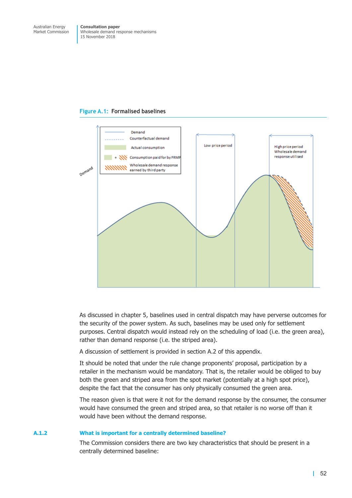



As discussed in chapter 5, baselines used in central dispatch may have perverse outcomes for the security of the power system. As such, baselines may be used only for settlement purposes. Central dispatch would instead rely on the scheduling of load (i.e. the green area), rather than demand response (i.e. the striped area).

A discussion of settlement is provided in section A.2 of this appendix.

It should be noted that under the rule change proponents' proposal, participation by a retailer in the mechanism would be mandatory. That is, the retailer would be obliged to buy both the green and striped area from the spot market (potentially at a high spot price), despite the fact that the consumer has only physically consumed the green area.

The reason given is that were it not for the demand response by the consumer, the consumer would have consumed the green and striped area, so that retailer is no worse off than it would have been without the demand response.

### **A.1.2 What is important for a centrally determined baseline?**

The Commission considers there are two key characteristics that should be present in a centrally determined baseline: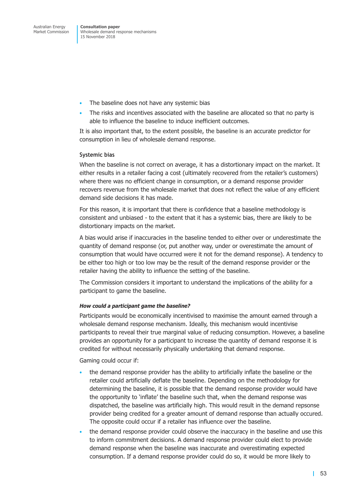- The baseline does not have any systemic bias
- The risks and incentives associated with the baseline are allocated so that no party is able to influence the baseline to induce inefficient outcomes.

It is also important that, to the extent possible, the baseline is an accurate predictor for consumption in lieu of wholesale demand response.

### **Systemic bias**

When the baseline is not correct on average, it has a distortionary impact on the market. It either results in a retailer facing a cost (ultimately recovered from the retailer's customers) where there was no efficient change in consumption, or a demand response provider recovers revenue from the wholesale market that does not reflect the value of any efficient demand side decisions it has made.

For this reason, it is important that there is confidence that a baseline methodology is consistent and unbiased - to the extent that it has a systemic bias, there are likely to be distortionary impacts on the market.

A bias would arise if inaccuracies in the baseline tended to either over or underestimate the quantity of demand response (or, put another way, under or overestimate the amount of consumption that would have occurred were it not for the demand response). A tendency to be either too high or too low may be the result of the demand response provider or the retailer having the ability to influence the setting of the baseline.

The Commission considers it important to understand the implications of the ability for a participant to game the baseline.

### *How could a participant game the baseline?*

Participants would be economically incentivised to maximise the amount earned through a wholesale demand response mechanism. Ideally, this mechanism would incentivise participants to reveal their true marginal value of reducing consumption. However, a baseline provides an opportunity for a participant to increase the quantity of demand response it is credited for without necessarily physically undertaking that demand response.

Gaming could occur if:

- the demand response provider has the ability to artificially inflate the baseline or the retailer could artificially deflate the baseline. Depending on the methodology for determining the baseline, it is possible that the demand response provider would have the opportunity to 'inflate' the baseline such that, when the demand response was dispatched, the baseline was artificially high. This would result in the demand repsonse provider being credited for a greater amount of demand response than actually occured. The opposite could occur if a retailer has influence over the baseline.
- the demand response provider could observe the inaccuracy in the baseline and use this to inform commitment decisions. A demand response provider could elect to provide demand response when the baseline was inaccurate and overestimating expected consumption. If a demand response provider could do so, it would be more likely to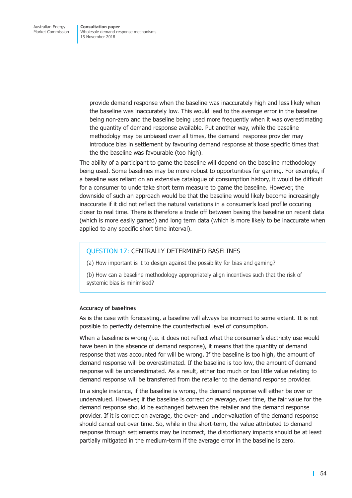> provide demand response when the baseline was inaccurately high and less likely when the baseline was inaccurately low. This would lead to the average error in the baseline being non-zero and the baseline being used more frequently when it was overestimating the quantity of demand response available. Put another way, while the baseline methodolgy may be unbiased over all times, the demand response provider may introduce bias in settlement by favouring demand response at those specific times that the the baseline was favourable (too high).

The ability of a participant to game the baseline will depend on the baseline methodology being used. Some baselines may be more robust to opportunities for gaming. For example, if a baseline was reliant on an extensive catalogue of consumption history, it would be difficult for a consumer to undertake short term measure to game the baseline. However, the downside of such an approach would be that the baseline would likely become increasingly inaccurate if it did not reflect the natural variations in a consumer's load profile occuring closer to real time. There is therefore a trade off between basing the baseline on recent data (which is more easily gamed) and long term data (which is more likely to be inaccurate when applied to any specific short time interval).

### QUESTION 17: CENTRALLY DETERMINED BASELINES

(a) How important is it to design against the possibility for bias and gaming?

(b) How can a baseline methodology appropriately align incentives such that the risk of systemic bias is minimised?

### **Accuracy of baselines**

As is the case with forecasting, a baseline will always be incorrect to some extent. It is not possible to perfectly determine the counterfactual level of consumption.

When a baseline is wrong (i.e. it does not reflect what the consumer's electricity use would have been in the absence of demand response), it means that the quantity of demand response that was accounted for will be wrong. If the baseline is too high, the amount of demand response will be overestimated. If the baseline is too low, the amount of demand response will be underestimated. As a result, either too much or too little value relating to demand response will be transferred from the retailer to the demand response provider.

In a single instance, if the baseline is wrong, the demand response will either be over or undervalued. However, if the baseline is correct *on average*, over time, the fair value for the demand response should be exchanged between the retailer and the demand response provider. If it is correct on average, the over- and under-valuation of the demand response should cancel out over time. So, while in the short-term, the value attributed to demand response through settlements may be incorrect, the distortionary impacts should be at least partially mitigated in the medium-term if the average error in the baseline is zero.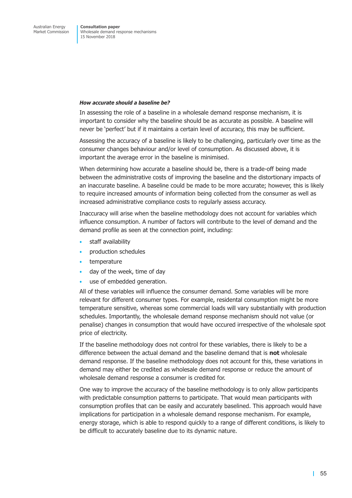### *How accurate should a baseline be?*

In assessing the role of a baseline in a wholesale demand response mechanism, it is important to consider why the baseline should be as accurate as possible. A baseline will never be 'perfect' but if it maintains a certain level of accuracy, this may be sufficient.

Assessing the accuracy of a baseline is likely to be challenging, particularly over time as the consumer changes behaviour and/or level of consumption. As discussed above, it is important the average error in the baseline is minimised.

When determining how accurate a baseline should be, there is a trade-off being made between the administrative costs of improving the baseline and the distortionary impacts of an inaccurate baseline. A baseline could be made to be more accurate; however, this is likely to require increased amounts of information being collected from the consumer as well as increased administrative compliance costs to regularly assess accuracy.

Inaccuracy will arise when the baseline methodology does not account for variables which influence consumption. A number of factors will contribute to the level of demand and the demand profile as seen at the connection point, including:

- staff availability
- production schedules
- temperature
- day of the week, time of day
- use of embedded generation.

All of these variables will influence the consumer demand. Some variables will be more relevant for different consumer types. For example, residental consumption might be more temperature sensitive, whereas some commercial loads will vary substantially with production schedules. Importantly, the wholesale demand response mechanism should not value (or penalise) changes in consumption that would have occured irrespective of the wholesale spot price of electricity.

If the baseline methodology does not control for these variables, there is likely to be a difference between the actual demand and the baseline demand that is **not** wholesale demand response. If the baseline methodology does not account for this, these variations in demand may either be credited as wholesale demand response or reduce the amount of wholesale demand response a consumer is credited for.

One way to improve the accuracy of the baseline methodology is to only allow participants with predictable consumption patterns to participate. That would mean participants with consumption profiles that can be easily and accurately baselined. This approach would have implications for participation in a wholesale demand response mechanism. For example, energy storage, which is able to respond quickly to a range of different conditions, is likely to be difficult to accurately baseline due to its dynamic nature.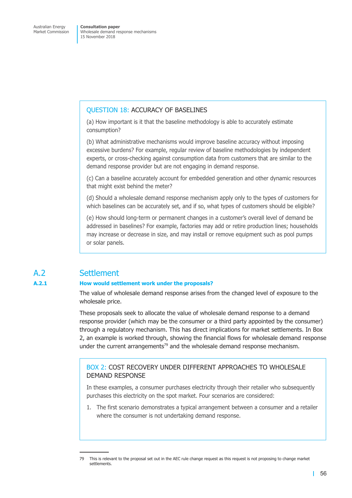### QUESTION 18: ACCURACY OF BASELINES

(a) How important is it that the baseline methodology is able to accurately estimate consumption?

(b) What administrative mechanisms would improve baseline accuracy without imposing excessive burdens? For example, regular review of baseline methodologies by independent experts, or cross-checking against consumption data from customers that are similar to the demand response provider but are not engaging in demand response.

(c) Can a baseline accurately account for embedded generation and other dynamic resources that might exist behind the meter?

(d) Should a wholesale demand response mechanism apply only to the types of customers for which baselines can be accurately set, and if so, what types of customers should be eligible?

(e) How should long-term or permanent changes in a customer's overall level of demand be addressed in baselines? For example, factories may add or retire production lines; households may increase or decrease in size, and may install or remove equipment such as pool pumps or solar panels.

# A.2 Settlement

### <span id="page-62-0"></span>**A.2.1 How would settlement work under the proposals?**

The value of wholesale demand response arises from the changed level of exposure to the wholesale price.

These proposals seek to allocate the value of wholesale demand response to a demand response provider (which may be the consumer or a third party appointed by the consumer) through a regulatory mechanism. This has direct implications for market settlements. In [Box](#page-62-0) [2,](#page-62-0) an example is worked through, showing the financial flows for wholesale demand response under the current arrangements<sup>79</sup> and the wholesale demand response mechanism.

## BOX 2: COST RECOVERY UNDER DIFFERENT APPROACHES TO WHOLESALE DEMAND RESPONSE

In these examples, a consumer purchases electricity through their retailer who subsequently purchases this electricity on the spot market. Four scenarios are considered:

1. The first scenario demonstrates a typical arrangement between a consumer and a retailer where the consumer is not undertaking demand response.

<sup>79</sup> This is relevant to the proposal set out in the AEC rule change request as this request is not proposing to change market settlements.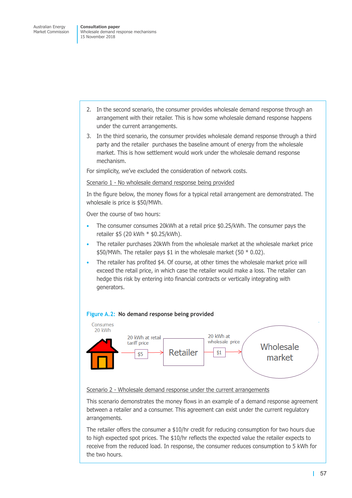- 2. In the second scenario, the consumer provides wholesale demand response through an arrangement with their retailer. This is how some wholesale demand response happens under the current arrangements.
- 3. In the third scenario, the consumer provides wholesale demand response through a third party and the retailer purchases the baseline amount of energy from the wholesale market. This is how settlement would work under the wholesale demand response mechanism.

For simplicity, we've excluded the consideration of network costs.

Scenario 1 - No wholesale demand response being provided

In the figure below, the money flows for a typical retail arrangement are demonstrated. The wholesale is price is \$50/MWh.

Over the course of two hours:

- The consumer consumes 20kWh at a retail price \$0.25/kWh. The consumer pays the retailer \$5 (20 kWh \* \$0.25/kWh).
- The retailer purchases 20kWh from the wholesale market at the wholesale market price \$50/MWh. The retailer pays \$1 in the wholesale market (50  $*$  0.02).
- The retailer has profited \$4. Of course, at other times the wholesale market price will exceed the retail price, in which case the retailer would make a loss. The retailer can hedge this risk by entering into financial contracts or vertically integrating with generators.

### **Figure A.2: No demand response being provided**



### Scenario 2 - Wholesale demand response under the current arrangements

This scenario demonstrates the money flows in an example of a demand response agreement between a retailer and a consumer. This agreement can exist under the current regulatory arrangements.

The retailer offers the consumer a \$10/hr credit for reducing consumption for two hours due to high expected spot prices. The \$10/hr reflects the expected value the retailer expects to receive from the reduced load. In response, the consumer reduces consumption to 5 kWh for the two hours.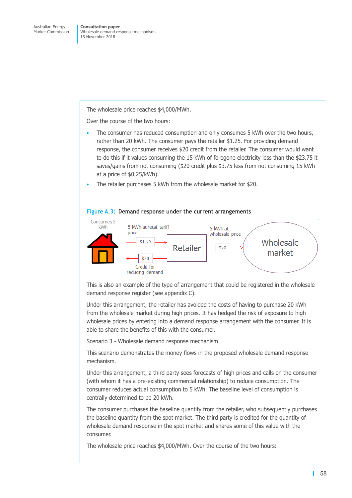The wholesale price reaches \$4,000/MWh.

Over the course of the two hours:

- The consumer has reduced consumption and only consumes 5 kWh over the two hours, rather than 20 kWh. The consumer pays the retailer \$1.25. For providing demand response, the consumer receives \$20 credit from the retailer. The consumer would want to do this if it values consuming the 15 kWh of foregone electricity less than the \$23.75 it saves/gains from not consuming (\$20 credit plus \$3.75 less from not consuming 15 kWh at a price of \$0.25/kWh).
- The retailer purchases 5 kWh from the wholesale market for \$20.



#### **Figure A.3: Demand response under the current arrangements**

This is also an example of the type of arrangement that could be registered in the wholesale demand response register (see appendix C).

Under this arrangement, the retailer has avoided the costs of having to purchase 20 kWh from the wholesale market during high prices. It has hedged the risk of exposure to high wholesale prices by entering into a demand response arrangement with the consumer. It is able to share the benefits of this with the consumer.

Scenario 3 - Wholesale demand response mechanism

This scenario demonstrates the money flows in the proposed wholesale demand response mechanism.

Under this arrangement, a third party sees forecasts of high prices and calls on the consumer (with whom it has a pre-existing commercial relationship) to reduce consumption. The consumer reduces actual consumption to 5 kWh. The baseline level of consumption is centrally determined to be 20 kWh.

The consumer purchases the baseline quantity from the retailer, who subsequently purchases the baseline quantity from the spot market. The third party is credited for the quantity of wholesale demand response in the spot market and shares some of this value with the consumer.

The wholesale price reaches \$4,000/MWh. Over the course of the two hours: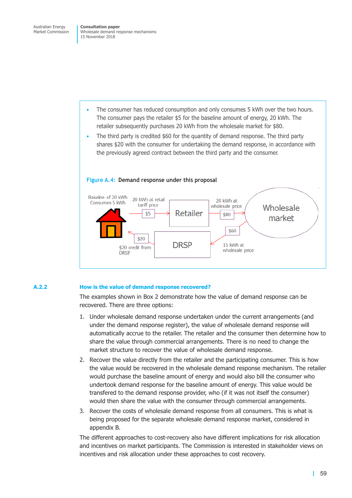- The consumer has reduced consumption and only consumes 5 kWh over the two hours. The consumer pays the retailer \$5 for the baseline amount of energy, 20 kWh. The retailer subsequently purchases 20 kWh from the wholesale market for \$80.
- The third party is credited \$60 for the quantity of demand response. The third party shares \$20 with the consumer for undertaking the demand response, in accordance with the previously agreed contract between the third party and the consumer.



### **Figure A.4: Demand response under this proposal**

### **A.2.2 How is the value of demand response recovered?**

The examples shown in [Box](#page-62-0) 2 demonstrate how the value of demand response can be recovered. There are three options:

- 1. Under wholesale demand response undertaken under the current arrangements (and under the demand response register), the value of wholesale demand response will automatically accrue to the retailer. The retailer and the consumer then determine how to share the value through commercial arrangements. There is no need to change the market structure to recover the value of wholesale demand response.
- 2. Recover the value directly from the retailer and the participating consumer. This is how the value would be recovered in the wholesale demand response mechanism. The retailer would purchase the baseline amount of energy and would also bill the consumer who undertook demand response for the baseline amount of energy. This value would be transfered to the demand response provider, who (if it was not itself the consumer) would then share the value with the consumer through commercial arrangements.
- 3. Recover the costs of wholesale demand response from all consumers. This is what is being proposed for the separate wholesale demand response market, considered in appendix B.

The different approaches to cost-recovery also have different implications for risk allocation and incentives on market participants. The Commission is interested in stakeholder views on incentives and risk allocation under these approaches to cost recovery.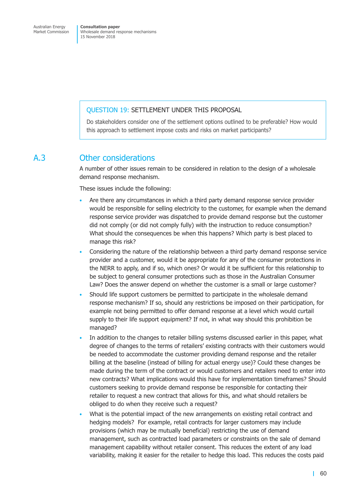### QUESTION 19: SETTLEMENT UNDER THIS PROPOSAL

Do stakeholders consider one of the settlement options outlined to be preferable? How would this approach to settlement impose costs and risks on market participants?

## A.3 Other considerations

A number of other issues remain to be considered in relation to the design of a wholesale demand response mechanism.

These issues include the following:

- Are there any circumstances in which a third party demand response service provider would be responsible for selling electricity to the customer, for example when the demand response service provider was dispatched to provide demand response but the customer did not comply (or did not comply fully) with the instruction to reduce consumption? What should the consequences be when this happens? Which party is best placed to manage this risk?
- Considering the nature of the relationship between a third party demand response service provider and a customer, would it be appropriate for any of the consumer protections in the NERR to apply, and if so, which ones? Or would it be sufficient for this relationship to be subject to general consumer protections such as those in the Australian Consumer Law? Does the answer depend on whether the customer is a small or large customer?
- Should life support customers be permitted to participate in the wholesale demand response mechanism? If so, should any restrictions be imposed on their participation, for example not being permitted to offer demand response at a level which would curtail supply to their life support equipment? If not, in what way should this prohibition be managed?
- In addition to the changes to retailer billing systems discussed earlier in this paper, what degree of changes to the terms of retailers' existing contracts with their customers would be needed to accommodate the customer providing demand response and the retailer billing at the baseline (instead of billing for actual energy use)? Could these changes be made during the term of the contract or would customers and retailers need to enter into new contracts? What implications would this have for implementation timeframes? Should customers seeking to provide demand response be responsible for contacting their retailer to request a new contract that allows for this, and what should retailers be obliged to do when they receive such a request?
- What is the potential impact of the new arrangements on existing retail contract and hedging models? For example, retail contracts for larger customers may include provisions (which may be mutually beneficial) restricting the use of demand management, such as contracted load parameters or constraints on the sale of demand management capability without retailer consent. This reduces the extent of any load variability, making it easier for the retailer to hedge this load. This reduces the costs paid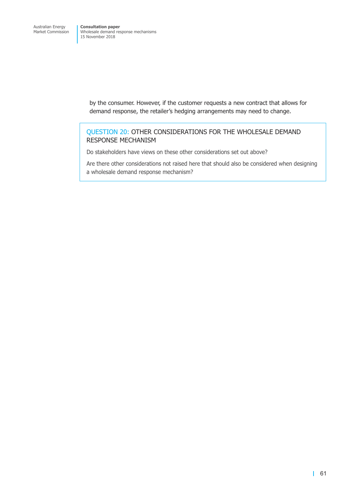> by the consumer. However, if the customer requests a new contract that allows for demand response, the retailer's hedging arrangements may need to change.

## QUESTION 20: OTHER CONSIDERATIONS FOR THE WHOLESALE DEMAND RESPONSE MECHANISM

Do stakeholders have views on these other considerations set out above?

Are there other considerations not raised here that should also be considered when designing a wholesale demand response mechanism?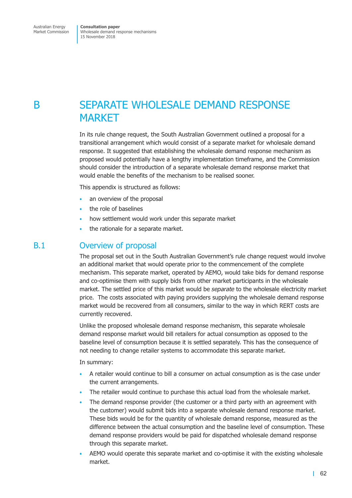# B SEPARATE WHOLESALE DEMAND RESPONSE MARKET

In its rule change request, the South Australian Government outlined a proposal for a transitional arrangement which would consist of a separate market for wholesale demand response. It suggested that establishing the wholesale demand response mechanism as proposed would potentially have a lengthy implementation timeframe, and the Commission should consider the introduction of a separate wholesale demand response market that would enable the benefits of the mechanism to be realised sooner.

This appendix is structured as follows:

- an overview of the proposal
- the role of baselines
- how settlement would work under this separate market
- the rationale for a separate market.

## B.1 Overview of proposal

The proposal set out in the South Australian Government's rule change request would involve an additional market that would operate prior to the commencement of the complete mechanism. This separate market, operated by AEMO, would take bids for demand response and co-optimise them with supply bids from other market participants in the wholesale market. The settled price of this market would be *separate* to the wholesale electricity market price. The costs associated with paying providers supplying the wholesale demand response market would be recovered from all consumers, similar to the way in which RERT costs are currently recovered.

Unlike the proposed wholesale demand response mechanism, this separate wholesale demand response market would bill retailers for actual consumption as opposed to the baseline level of consumption because it is settled separately. This has the consequence of not needing to change retailer systems to accommodate this separate market.

In summary:

- A retailer would continue to bill a consumer on actual consumption as is the case under the current arrangements.
- The retailer would continue to purchase this actual load from the wholesale market.
- The demand response provider (the customer or a third party with an agreement with the customer) would submit bids into a separate wholesale demand response market. These bids would be for the quantity of wholesale demand response, measured as the difference between the actual consumption and the baseline level of consumption. These demand response providers would be paid for dispatched wholesale demand response through this separate market.
- AEMO would operate this separate market and co-optimise it with the existing wholesale market.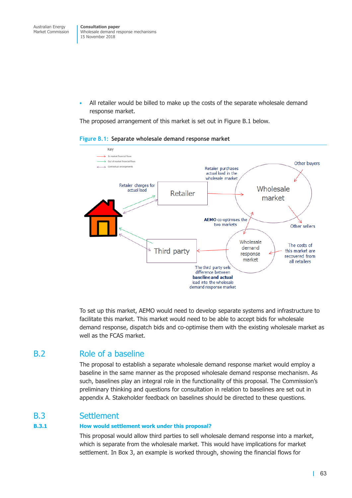• All retailer would be billed to make up the costs of the separate wholesale demand response market.

<span id="page-69-0"></span>The proposed arrangement of this market is set out in [Figure](#page-69-0) B.1 below.



### **Figure B.1: Separate wholesale demand response market**

To set up this market, AEMO would need to develop separate systems and infrastructure to facilitate this market. This market would need to be able to accept bids for wholesale demand response, dispatch bids and co-optimise them with the existing wholesale market as well as the FCAS market.

## B.2 Role of a baseline

The proposal to establish a separate wholesale demand response market would employ a baseline in the same manner as the proposed wholesale demand response mechanism. As such, baselines play an integral role in the functionality of this proposal. The Commission's preliminary thinking and questions for consultation in relation to baselines are set out in appendix A. Stakeholder feedback on baselines should be directed to these questions.

## B.3 Settlement

### **B.3.1 How would settlement work under this proposal?**

This proposal would allow third parties to sell wholesale demand response into a market, which is separate from the wholesale market. This would have implications for market settlement. In [Box](#page-70-0) 3, an example is worked through, showing the financial flows for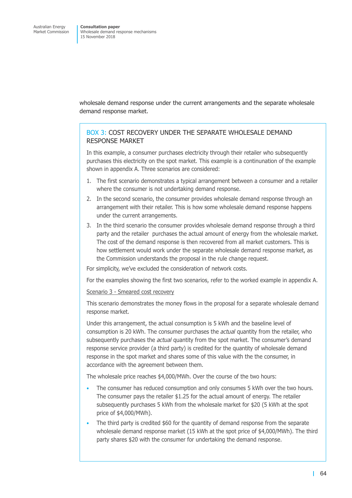<span id="page-70-0"></span>wholesale demand response under the current arrangements and the separate wholesale demand response market.

## BOX 3: COST RECOVERY UNDER THE SEPARATE WHOLESALE DEMAND RESPONSE MARKET

In this example, a consumer purchases electricity through their retailer who subsequently purchases this electricity on the spot market. This example is a continunation of the example shown in appendix A. Three scenarios are considered:

- 1. The first scenario demonstrates a typical arrangement between a consumer and a retailer where the consumer is not undertaking demand response.
- 2. In the second scenario, the consumer provides wholesale demand response through an arrangement with their retailer. This is how some wholesale demand response happens under the current arrangements.
- 3. In the third scenario the consumer provides wholesale demand response through a third party and the retailer purchases the actual amount of energy from the wholesale market. The cost of the demand response is then recovered from all market customers. This is how settlement would work under the separate wholesale demand response market, as the Commission understands the proposal in the rule change request.

For simplicity, we've excluded the consideration of network costs.

For the examples showing the first two scenarios, refer to the worked example in appendix A.

### Scenario 3 - Smeared cost recovery

This scenario demonstrates the money flows in the proposal for a separate wholesale demand response market.

Under this arrangement, the actual consumption is 5 kWh and the baseline level of consumption is 20 kWh. The consumer purchases the *actual* quantity from the retailer, who subsequently purchases the *actual* quantity from the spot market. The consumer's demand response service provider (a third party) is credited for the quantity of wholesale demand response in the spot market and shares some of this value with the the consumer, in accordance with the agreement between them.

The wholesale price reaches \$4,000/MWh. Over the course of the two hours:

- The consumer has reduced consumption and only consumes 5 kWh over the two hours. The consumer pays the retailer \$1.25 for the actual amount of energy. The retailer subsequently purchases 5 kWh from the wholesale market for \$20 (5 kWh at the spot price of \$4,000/MWh).
- The third party is credited \$60 for the quantity of demand response from the separate wholesale demand response market (15 kWh at the spot price of \$4,000/MWh). The third party shares \$20 with the consumer for undertaking the demand response.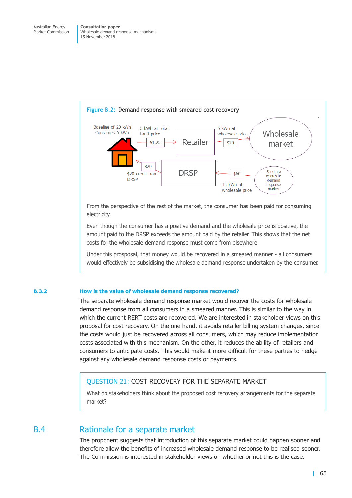

From the perspective of the rest of the market, the consumer has been paid for consuming electricity.

Even though the consumer has a positive demand and the wholesale price is positive, the amount paid to the DRSP exceeds the amount paid by the retailer. This shows that the net costs for the wholesale demand response must come from elsewhere.

Under this prosposal, that money would be recovered in a smeared manner - all consumers would effectively be subsidising the wholesale demand response undertaken by the consumer.

### **B.3.2 How is the value of wholesale demand response recovered?**

The separate wholesale demand response market would recover the costs for wholesale demand response from all consumers in a smeared manner. This is similar to the way in which the current RERT costs are recovered. We are interested in stakeholder views on this proposal for cost recovery. On the one hand, it avoids retailer billing system changes, since the costs would just be recovered across all consumers, which may reduce implementation costs associated with this mechanism. On the other, it reduces the ability of retailers and consumers to anticipate costs. This would make it more difficult for these parties to hedge against any wholesale demand response costs or payments.

## QUESTION 21: COST RECOVERY FOR THE SEPARATE MARKET

What do stakeholders think about the proposed cost recovery arrangements for the separate market?

## B.4 Rationale for a separate market

The proponent suggests that introduction of this separate market could happen sooner and therefore allow the benefits of increased wholesale demand response to be realised sooner. The Commission is interested in stakeholder views on whether or not this is the case.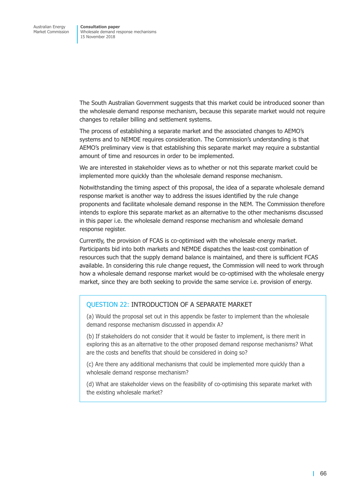The South Australian Government suggests that this market could be introduced sooner than the wholesale demand response mechanism, because this separate market would not require changes to retailer billing and settlement systems.

The process of establishing a separate market and the associated changes to AEMO's systems and to NEMDE requires consideration. The Commission's understanding is that AEMO's preliminary view is that establishing this separate market may require a substantial amount of time and resources in order to be implemented.

We are interested in stakeholder views as to whether or not this separate market could be implemented more quickly than the wholesale demand response mechanism.

Notwithstanding the timing aspect of this proposal, the idea of a separate wholesale demand response market is another way to address the issues identified by the rule change proponents and facilitate wholesale demand response in the NEM. The Commission therefore intends to explore this separate market as an alternative to the other mechanisms discussed in this paper i.e. the wholesale demand response mechanism and wholesale demand response register.

Currently, the provision of FCAS is co-optimised with the wholesale energy market. Participants bid into both markets and NEMDE dispatches the least-cost combination of resources such that the supply demand balance is maintained, and there is sufficient FCAS available. In considering this rule change request, the Commission will need to work through how a wholesale demand response market would be co-optimised with the wholesale energy market, since they are both seeking to provide the same service i.e. provision of energy.

## QUESTION 22: INTRODUCTION OF A SEPARATE MARKET

(a) Would the proposal set out in this appendix be faster to implement than the wholesale demand response mechanism discussed in appendix A?

(b) If stakeholders do not consider that it would be faster to implement, is there merit in exploring this as an alternative to the other proposed demand response mechanisms? What are the costs and benefits that should be considered in doing so?

(c) Are there any additional mechanisms that could be implemented more quickly than a wholesale demand response mechanism?

(d) What are stakeholder views on the feasibility of co-optimising this separate market with the existing wholesale market?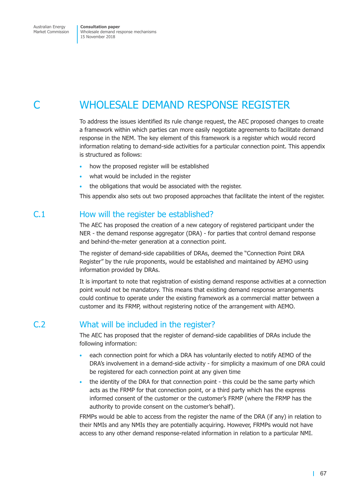# WHOLESALE DEMAND RESPONSE REGISTER

To address the issues identified its rule change request, the AEC proposed changes to create a framework within which parties can more easily negotiate agreements to facilitate demand response in the NEM. The key element of this framework is a register which would record information relating to demand-side activities for a particular connection point. This appendix is structured as follows:

- how the proposed register will be established
- what would be included in the register
- the obligations that would be associated with the register.

This appendix also sets out two proposed approaches that facilitate the intent of the register.

## C.1 How will the register be established?

The AEC has proposed the creation of a new category of registered participant under the NER - the demand response aggregator (DRA) - for parties that control demand response and behind-the-meter generation at a connection point.

The register of demand-side capabilities of DRAs, deemed the "Connection Point DRA Register" by the rule proponents, would be established and maintained by AEMO using information provided by DRAs.

It is important to note that registration of existing demand response activities at a connection point would not be mandatory. This means that existing demand response arrangements could continue to operate under the existing framework as a commercial matter between a customer and its FRMP, without registering notice of the arrangement with AEMO.

# C.2 What will be included in the register?

The AEC has proposed that the register of demand-side capabilities of DRAs include the following information:

- each connection point for which a DRA has voluntarily elected to notify AEMO of the DRA's involvement in a demand-side activity - for simplicity a maximum of one DRA could be registered for each connection point at any given time
- the identity of the DRA for that connection point this could be the same party which acts as the FRMP for that connection point, or a third party which has the express informed consent of the customer or the customer's FRMP (where the FRMP has the authority to provide consent on the customer's behalf).

FRMPs would be able to access from the register the name of the DRA (if any) in relation to their NMIs and any NMIs they are potentially acquiring. However, FRMPs would not have access to any other demand response-related information in relation to a particular NMI.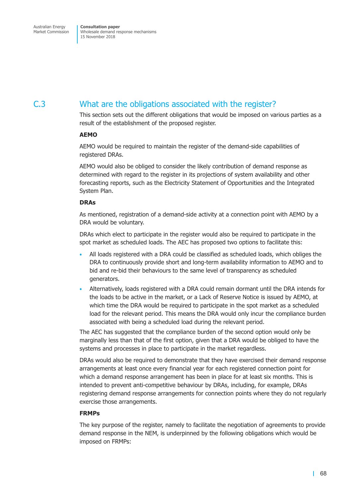# C.3 What are the obligations associated with the register?

This section sets out the different obligations that would be imposed on various parties as a result of the establishment of the proposed register.

#### **AEMO**

AEMO would be required to maintain the register of the demand-side capabilities of registered DRAs.

AEMO would also be obliged to consider the likely contribution of demand response as determined with regard to the register in its projections of system availability and other forecasting reports, such as the Electricity Statement of Opportunities and the Integrated System Plan.

#### **DRAs**

As mentioned, registration of a demand-side activity at a connection point with AEMO by a DRA would be voluntary.

DRAs which elect to participate in the register would also be required to participate in the spot market as scheduled loads. The AEC has proposed two options to facilitate this:

- All loads registered with a DRA could be classified as scheduled loads, which obliges the DRA to continuously provide short and long-term availability information to AEMO and to bid and re-bid their behaviours to the same level of transparency as scheduled generators.
- Alternatively, loads registered with a DRA could remain dormant until the DRA intends for the loads to be active in the market, or a Lack of Reserve Notice is issued by AEMO, at which time the DRA would be required to participate in the spot market as a scheduled load for the relevant period. This means the DRA would only incur the compliance burden associated with being a scheduled load during the relevant period.

The AEC has suggested that the compliance burden of the second option would only be marginally less than that of the first option, given that a DRA would be obliged to have the systems and processes in place to participate in the market regardless.

DRAs would also be required to demonstrate that they have exercised their demand response arrangements at least once every financial year for each registered connection point for which a demand response arrangement has been in place for at least six months. This is intended to prevent anti-competitive behaviour by DRAs, including, for example, DRAs registering demand response arrangements for connection points where they do not regularly exercise those arrangements.

#### **FRMPs**

The key purpose of the register, namely to facilitate the negotiation of agreements to provide demand response in the NEM, is underpinned by the following obligations which would be imposed on FRMPs: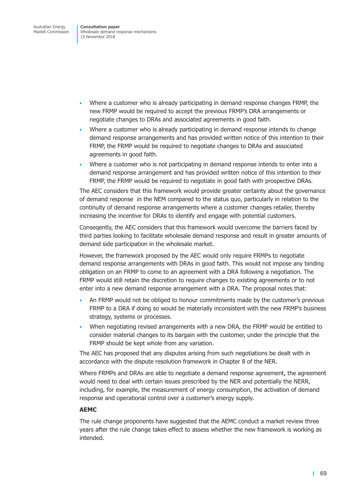- Where a customer who is already participating in demand response changes FRMP, the new FRMP would be required to accept the previous FRMP's DRA arrangements or negotiate changes to DRAs and associated agreements in good faith.
- Where a customer who is already participating in demand response intends to change demand response arrangements and has provided written notice of this intention to their FRMP, the FRMP would be required to negotiate changes to DRAs and associated agreements in good faith.
- Where a customer who is not participating in demand response intends to enter into a demand response arrangement and has provided written notice of this intention to their FRMP, the FRMP would be required to negotiate in good faith with prospective DRAs.

The AEC considers that this framework would provide greater certainty about the governance of demand response in the NEM compared to the status quo, particularly in relation to the continuity of demand response arrangements where a customer changes retailer, thereby increasing the incentive for DRAs to identify and engage with potential customers.

Conseqently, the AEC considers that this framework would overcome the barriers faced by third parties looking to facilitate wholesale demand response and result in greater amounts of demand side participation in the wholesale market.

However, the framework proposed by the AEC would only require FRMPs to negotiate demand response arrangements with DRAs in good faith. This would not impose any binding obligation on an FRMP to come to an agreement with a DRA following a negotiation. The FRMP would still retain the discretion to require changes to existing agreements or to not enter into a new demand response arrangement with a DRA. The proposal notes that:

- An FRMP would not be obliged to honour commitments made by the customer's previous FRMP to a DRA if doing so would be materially inconsistent with the new FRMP's business strategy, systems or processes.
- When negotiating revised arrangements with a new DRA, the FRMP would be entitled to consider material changes to its bargain with the customer, under the principle that the FRMP should be kept whole from any variation.

The AEC has proposed that any disputes arising from such negotiations be dealt with in accordance with the dispute resolution framework in Chapter 8 of the NER.

Where FRMPs and DRAs are able to negotiate a demand response agreement, the agreement would need to deal with certain issues prescribed by the NER and potentially the NERR, including, for example, the measurement of energy consumption, the activation of demand response and operational control over a customer's energy supply.

#### **AEMC**

The rule change proponents have suggested that the AEMC conduct a market review three years after the rule change takes effect to assess whether the new framework is working as intended.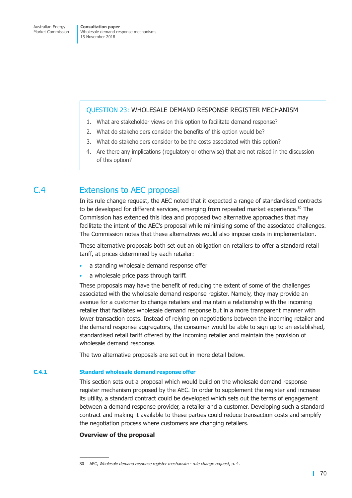#### QUESTION 23: WHOLESALE DEMAND RESPONSE REGISTER MECHANISM

- 1. What are stakeholder views on this option to facilitate demand response?
- 2. What do stakeholders consider the benefits of this option would be?
- 3. What do stakeholders consider to be the costs associated with this option?
- 4. Are there any implications (regulatory or otherwise) that are not raised in the discussion of this option?

## C.4 Extensions to AEC proposal

In its rule change request, the AEC noted that it expected a range of standardised contracts to be developed for different services, emerging from repeated market experience.<sup>80</sup> The Commission has extended this idea and proposed two alternative approaches that may facilitate the intent of the AEC's proposal while minimising some of the associated challenges. The Commission notes that these alternatives would also impose costs in implementation.

These alternative proposals both set out an obligation on retailers to offer a standard retail tariff, at prices determined by each retailer:

- a standing wholesale demand response offer
- a wholesale price pass through tariff.

These proposals may have the benefit of reducing the extent of some of the challenges associated with the wholesale demand response register. Namely, they may provide an avenue for a customer to change retailers and maintain a relationship with the incoming retailer that faciliates wholesale demand response but in a more transparent manner with lower transaction costs. Instead of relying on negotiations between the incoming retailer and the demand response aggregators, the consumer would be able to sign up to an established, standardised retail tariff offered by the incoming retailer and maintain the provision of wholesale demand response.

The two alternative proposals are set out in more detail below.

## **C.4.1 Standard wholesale demand response offer**

This section sets out a proposal which would build on the wholesale demand response register mechanism proposed by the AEC. In order to supplement the register and increase its utility, a standard contract could be developed which sets out the terms of engagement between a demand response provider, a retailer and a customer. Developing such a standard contract and making it available to these parties could reduce transaction costs and simplify the negotiation process where customers are changing retailers.

## **Overview of the proposal**

<sup>80</sup> AEC, *Wholesale demand response register mechansim - rule change request*, p. 4.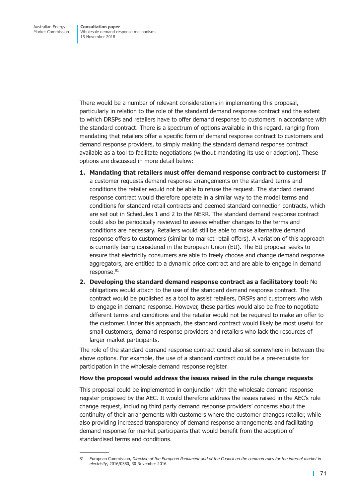There would be a number of relevant considerations in implementing this proposal, particularly in relation to the role of the standard demand response contract and the extent to which DRSPs and retailers have to offer demand response to customers in accordance with the standard contract. There is a spectrum of options available in this regard, ranging from mandating that retailers offer a specific form of demand response contract to customers and demand response providers, to simply making the standard demand response contract available as a tool to facilitate negotiations (without mandating its use or adoption). These options are discussed in more detail below:

- **1. Mandating that retailers must offer demand response contract to customers:** If a customer requests demand response arrangements on the standard terms and conditions the retailer would not be able to refuse the request. The standard demand response contract would therefore operate in a similar way to the model terms and conditions for standard retail contracts and deemed standard connection contracts, which are set out in Schedules 1 and 2 to the NERR. The standard demand response contract could also be periodically reviewed to assess whether changes to the terms and conditions are necessary. Retailers would still be able to make alternative demand response offers to customers (similar to market retail offers). A variation of this approach is currently being considered in the European Union (EU). The EU proposal seeks to ensure that electricity consumers are able to freely choose and change demand response aggregators, are entitled to a dynamic price contract and are able to engage in demand response. 81
- **2. Developing the standard demand response contract as a facilitatory tool:** No obligations would attach to the use of the standard demand response contract. The contract would be published as a tool to assist retailers, DRSPs and customers who wish to engage in demand response. However, these parties would also be free to negotiate different terms and conditions and the retailer would not be required to make an offer to the customer. Under this approach, the standard contract would likely be most useful for small customers, demand response providers and retailers who lack the resources of larger market participants.

The role of the standard demand response contract could also sit somewhere in between the above options. For example, the use of a standard contract could be a pre-requisite for participation in the wholesale demand response register.

#### **How the proposal would address the issues raised in the rule change requests**

This proposal could be implemented in conjunction with the wholesale demand response register proposed by the AEC. It would therefore address the issues raised in the AEC's rule change request, including third party demand response providers' concerns about the continuity of their arrangements with customers where the customer changes retailer, while also providing increased transparency of demand response arrangements and facilitating demand response for market participants that would benefit from the adoption of standardised terms and conditions.

<sup>81</sup> European Commission, Directive of the European Parliament and of the Council on the common rules for the internal market in *electricity*, 2016/0380, 30 November 2016.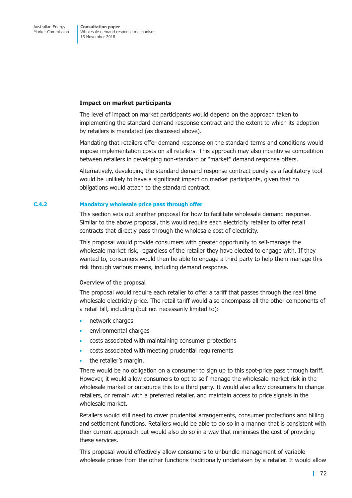#### **Impact on market participants**

The level of impact on market participants would depend on the approach taken to implementing the standard demand response contract and the extent to which its adoption by retailers is mandated (as discussed above).

Mandating that retailers offer demand response on the standard terms and conditions would impose implementation costs on all retailers. This approach may also incentivise competition between retailers in developing non-standard or "market" demand response offers.

Alternatively, developing the standard demand response contract purely as a facilitatory tool would be unlikely to have a significant impact on market participants, given that no obligations would attach to the standard contract.

#### **C.4.2 Mandatory wholesale price pass through offer**

This section sets out another proposal for how to facilitate wholesale demand response. Similar to the above proposal, this would require each electricity retailer to offer retail contracts that directly pass through the wholesale cost of electricity.

This proposal would provide consumers with greater opportunity to self-manage the wholesale market risk, regardless of the retailer they have elected to engage with. If they wanted to, consumers would then be able to engage a third party to help them manage this risk through various means, including demand response.

#### **Overview of the proposal**

The proposal would require each retailer to offer a tariff that passes through the real time wholesale electricity price. The retail tariff would also encompass all the other components of a retail bill, including (but not necessarily limited to):

- network charges
- environmental charges
- costs associated with maintaining consumer protections
- costs associated with meeting prudential requirements
- the retailer's margin.

There would be no obligation on a consumer to sign up to this spot-price pass through tariff. However, it would allow consumers to opt to self manage the wholesale market risk in the wholesale market or outsource this to a third party. It would also allow consumers to change retailers, or remain with a preferred retailer, and maintain access to price signals in the wholesale market.

Retailers would still need to cover prudential arrangements, consumer protections and billing and settlement functions. Retailers would be able to do so in a manner that is consistent with their current approach but would also do so in a way that minimises the cost of providing these services.

This proposal would effectively allow consumers to unbundle management of variable wholesale prices from the other functions traditionally undertaken by a retailer. It would allow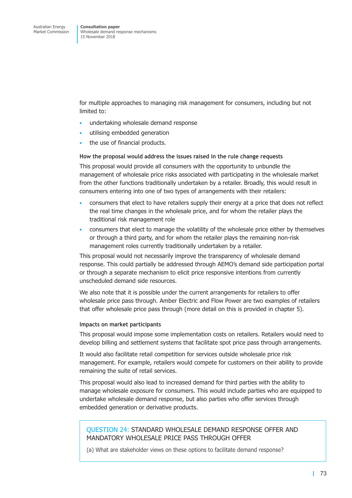for multiple approaches to managing risk management for consumers, including but not limited to:

- undertaking wholesale demand response
- utilising embedded generation
- the use of financial products.

#### **How the proposal would address the issues raised in the rule change requests**

This proposal would provide all consumers with the opportunity to unbundle the management of wholesale price risks associated with participating in the wholesale market from the other functions traditionally undertaken by a retailer. Broadly, this would result in consumers entering into one of two types of arrangements with their retailers:

- consumers that elect to have retailers supply their energy at a price that does not reflect the real time changes in the wholesale price, and for whom the retailer plays the traditional risk management role
- consumers that elect to manage the volatility of the wholesale price either by themselves or through a third party, and for whom the retailer plays the remaining non-risk management roles currently traditionally undertaken by a retailer.

This proposal would not necessarily improve the transparency of wholesale demand response. This could partially be addressed through AEMO's demand side participation portal or through a separate mechanism to elicit price responsive intentions from currently unscheduled demand side resources.

We also note that it is possible under the current arrangements for retailers to offer wholesale price pass through. Amber Electric and Flow Power are two examples of retailers that offer wholesale price pass through (more detail on this is provided in chapter 5).

#### **Impacts on market participants**

This proposal would impose some implementation costs on retailers. Retailers would need to develop billing and settlement systems that facilitate spot price pass through arrangements.

It would also facilitate retail competition for services outside wholesale price risk management. For example, retailers would compete for customers on their ability to provide remaining the suite of retail services.

This proposal would also lead to increased demand for third parties with the ability to manage wholesale exposure for consumers. This would include parties who are equipped to undertake wholesale demand response, but also parties who offer services through embedded generation or derivative products.

## QUESTION 24: STANDARD WHOLESALE DEMAND RESPONSE OFFER AND MANDATORY WHOLESALE PRICE PASS THROUGH OFFER

(a) What are stakeholder views on these options to facilitate demand response?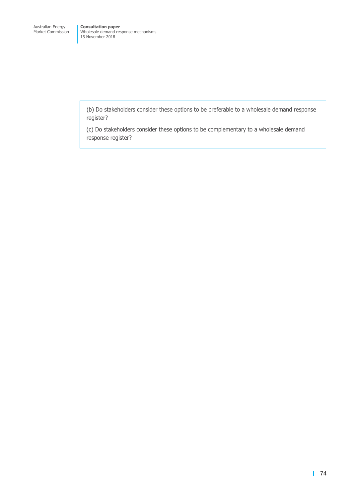(b) Do stakeholders consider these options to be preferable to a wholesale demand response register?

(c) Do stakeholders consider these options to be complementary to a wholesale demand response register?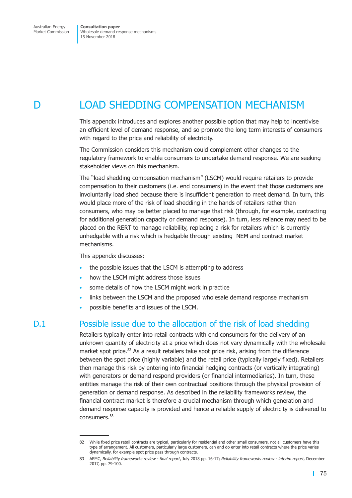# D LOAD SHEDDING COMPENSATION MECHANISM

This appendix introduces and explores another possible option that may help to incentivise an efficient level of demand response, and so promote the long term interests of consumers with regard to the price and reliability of electricity.

The Commission considers this mechanism could complement other changes to the regulatory framework to enable consumers to undertake demand response. We are seeking stakeholder views on this mechanism.

The "load shedding compensation mechanism" (LSCM) would require retailers to provide compensation to their customers (i.e. end consumers) in the event that those customers are involuntarily load shed because there is insufficient generation to meet demand. In turn, this would place more of the risk of load shedding in the hands of retailers rather than consumers, who may be better placed to manage that risk (through, for example, contracting for additional generation capacity or demand response). In turn, less reliance may need to be placed on the RERT to manage reliability, replacing a risk for retailers which is currently unhedgable with a risk which is hedgable through existing NEM and contract market mechanisms.

This appendix discusses:

- the possible issues that the LSCM is attempting to address
- how the LSCM might address those issues
- some details of how the LSCM might work in practice
- links between the LSCM and the proposed wholesale demand response mechanism
- possible benefits and issues of the LSCM.

# D.1 Possible issue due to the allocation of the risk of load shedding

Retailers typically enter into retail contracts with end consumers for the delivery of an unknown quantity of electricity at a price which does not vary dynamically with the wholesale market spot price.<sup>82</sup> As a result retailers take spot price risk, arising from the difference between the spot price (highly variable) and the retail price (typically largely fixed). Retailers then manage this risk by entering into financial hedging contracts (or vertically integrating) with generators or demand respond providers (or financial intermediaries). In turn, these entities manage the risk of their own contractual positions through the physical provision of generation or demand response. As described in the reliability frameworks review, the financial contract market is therefore a crucial mechanism through which generation and demand response capacity is provided and hence a reliable supply of electricity is delivered to consumers. 83

<sup>82</sup> While fixed price retail contracts are typical, particularly for residential and other small consumers, not all customers have this type of arrangement. All customers, particularly large customers, can and do enter into retail contracts where the price varies dynamically, for example spot price pass through contracts.

<sup>83</sup> AEMC, *Reliability frameworks review - final report*, July 2018 pp. 16-17; *Reliability frameworks review - interim report*, December 2017, pp. 79-100.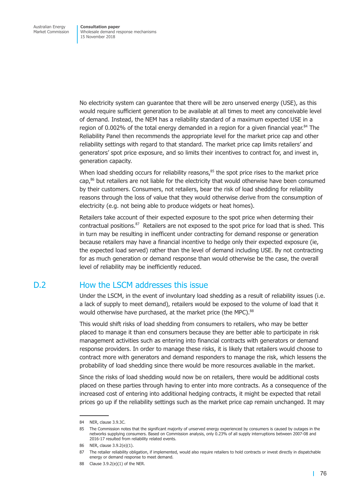No electricity system can guarantee that there will be zero unserved energy (USE), as this would require sufficient generation to be available at all times to meet any conceivable level of demand. Instead, the NEM has a reliability standard of a maximum expected USE in a region of 0.002% of the total energy demanded in a region for a given financial year. <sup>84</sup> The Reliability Panel then recommends the appropriate level for the market price cap and other reliability settings with regard to that standard. The market price cap limits retailers' and generators' spot price exposure, and so limits their incentives to contract for, and invest in, generation capacity.

When load shedding occurs for reliability reasons,<sup>85</sup> the spot price rises to the market price cap, <sup>86</sup> but retailers are not liable for the electricity that would otherwise have been consumed by their customers. Consumers, not retailers, bear the risk of load shedding for reliability reasons through the loss of value that they would otherwise derive from the consumption of electricity (e.g. not being able to produce widgets or heat homes).

Retailers take account of their expected exposure to the spot price when determing their contractual positions.<sup>87</sup> Retailers are not exposed to the spot price for load that is shed. This in turn may be resulting in inefficent under contracting for demand response or generation because retailers may have a financial incentive to hedge only their expected exposure (ie, the expected load served) rather than the level of demand including USE. By not contracting for as much generation or demand response than would otherwise be the case, the overall level of reliability may be inefficiently reduced.

# D.2 How the LSCM addresses this issue

Under the LSCM, in the event of involuntary load shedding as a result of reliability issues (i.e. a lack of supply to meet demand), retailers would be exposed to the volume of load that it would otherwise have purchased, at the market price (the MPC).<sup>88</sup>

This would shift risks of load shedding from consumers to retailers, who may be better placed to manage it than end consumers because they are better able to participate in risk management activities such as entering into financial contracts with generators or demand response providers. In order to manage these risks, it is likely that retailers would choose to contract more with generators and demand responders to manage the risk, which lessens the probability of load shedding since there would be more resources avaliable in the market.

Since the risks of load shedding would now be on retailers, there would be additional costs placed on these parties through having to enter into more contracts. As a consequence of the increased cost of entering into additional hedging contracts, it might be expected that retail prices go up if the reliability settings such as the market price cap remain unchanged. It may

<sup>84</sup> NER, clause 3.9.3C.

<sup>85</sup> The Commission notes that the significant majority of unserved energy experienced by consumers is caused by outages in the networks supplying consumers. Based on Commission analysis, only 0.23% of all supply interruptions between 2007-08 and 2016-17 resulted from reliability related events.

<sup>86</sup> NER, clause 3.9.2(e)(1).

<sup>87</sup> The retailer reliability obligation, if implemented, would also require retailers to hold contracts or invest directly in dispatchable energy or demand response to meet demand.

<sup>88</sup> Clause 3.9.2(e)(1) of the NER.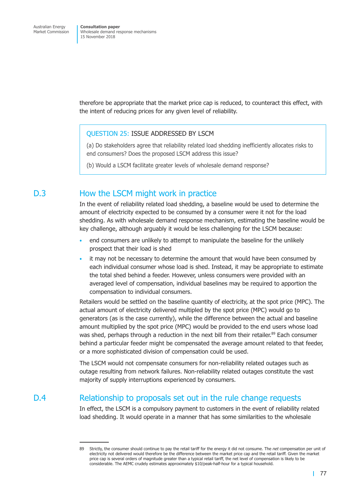therefore be appropriate that the market price cap is reduced, to counteract this effect, with the intent of reducing prices for any given level of reliability.

### QUESTION 25: ISSUE ADDRESSED BY LSCM

(a) Do stakeholders agree that reliability related load shedding inefficiently allocates risks to end consumers? Does the proposed LSCM address this issue?

(b) Would a LSCM facilitate greater levels of wholesale demand response?

## D.3 How the LSCM might work in practice

In the event of reliability related load shedding, a baseline would be used to determine the amount of electricity expected to be consumed by a consumer were it not for the load shedding. As with wholesale demand response mechanism, estimating the baseline would be key challenge, although arguably it would be less challenging for the LSCM because:

- end consumers are unlikely to attempt to manipulate the baseline for the unlikely prospect that their load is shed
- it may not be necessary to determine the amount that would have been consumed by each individual consumer whose load is shed. Instead, it may be appropriate to estimate the total shed behind a feeder. However, unless consumers were provided with an averaged level of compensation, individual baselines may be required to apportion the compensation to individual consumers.

Retailers would be settled on the baseline quantity of electricity, at the spot price (MPC). The actual amount of electricity delivered multipled by the spot price (MPC) would go to generators (as is the case currently), while the difference between the actual and baseline amount multiplied by the spot price (MPC) would be provided to the end users whose load was shed, perhaps through a reduction in the next bill from their retailer. <sup>89</sup> Each consumer behind a particular feeder might be compensated the average amount related to that feeder, or a more sophisticated division of compensation could be used.

The LSCM would not compensate consumers for non-reliability related outages such as outage resulting from network failures. Non-reliability related outages constitute the vast majority of supply interruptions experienced by consumers.

## D.4 Relationship to proposals set out in the rule change requests

In effect, the LSCM is a compulsory payment to customers in the event of reliability related load shedding. It would operate in a manner that has some similarities to the wholesale

<sup>89</sup> Strictly, the consumer should continue to pay the retail tariff for the energy it did not consume. The *net* compensation per unit of electricity not delivered would therefore be the difference between the market price cap and the retail tariff. Given the market price cap is several orders of magnitude greater than a typical retail tariff, the net level of compensation is likely to be considerable. The AEMC crudely estimates approximately \$10/peak-half-hour for a typical household.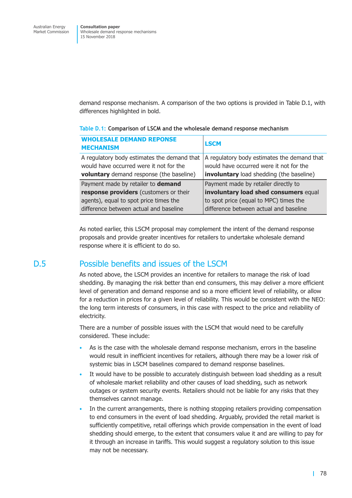<span id="page-84-0"></span>demand response mechanism. A comparison of the two options is provided in [Table](#page-84-0) D.1, with differences highlighted in bold.

| <b>WHOLESALE DEMAND REPONSE</b><br><b>MECHANISM</b>                                                                                       | <b>LSCM</b>                                                                                                                        |
|-------------------------------------------------------------------------------------------------------------------------------------------|------------------------------------------------------------------------------------------------------------------------------------|
| A regulatory body estimates the demand that<br>would have occurred were it not for the<br><b>voluntary</b> demand response (the baseline) | A regulatory body estimates the demand that<br>would have occurred were it not for the<br>involuntary load shedding (the baseline) |
| Payment made by retailer to demand                                                                                                        | Payment made by retailer directly to                                                                                               |
| response providers (customers or their                                                                                                    | involuntary load shed consumers equal                                                                                              |
| agents), equal to spot price times the                                                                                                    | to spot price (equal to MPC) times the                                                                                             |
| difference between actual and baseline                                                                                                    | difference between actual and baseline                                                                                             |

#### **Table D.1: Comparison of LSCM and the wholesale demand response mechanism**

As noted earlier, this LSCM proposal may complement the intent of the demand response proposals and provide greater incentives for retailers to undertake wholesale demand response where it is efficient to do so.

## D.5 Possible benefits and issues of the LSCM

As noted above, the LSCM provides an incentive for retailers to manage the risk of load shedding. By managing the risk better than end consumers, this may deliver a more efficient level of generation and demand response and so a more efficient level of reliability, or allow for a reduction in prices for a given level of reliability. This would be consistent with the NEO: the long term interests of consumers, in this case with respect to the price and reliability of electricity.

There are a number of possible issues with the LSCM that would need to be carefully considered. These include:

- As is the case with the wholesale demand response mechanism, errors in the baseline would result in inefficient incentives for retailers, although there may be a lower risk of systemic bias in LSCM baselines compared to demand response baselines.
- It would have to be possible to accurately distinguish between load shedding as a result of wholesale market reliability and other causes of load shedding, such as network outages or system security events. Retailers should not be liable for any risks that they themselves cannot manage.
- In the current arrangements, there is nothing stopping retailers providing compensation to end consumers in the event of load shedding. Arguably, provided the retail market is sufficiently competitive, retail offerings which provide compensation in the event of load shedding should emerge, to the extent that consumers value it and are willing to pay for it through an increase in tariffs. This would suggest a regulatory solution to this issue may not be necessary.